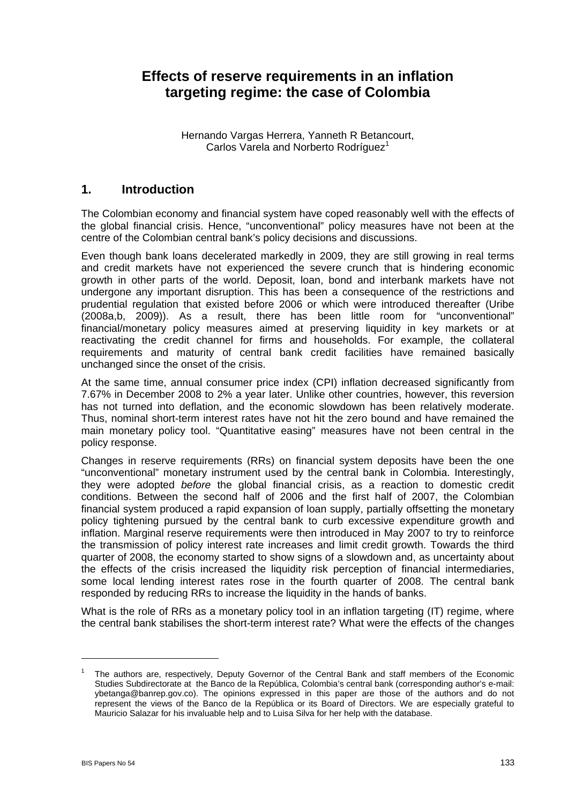# **Effects of reserve requirements in an inflation targeting regime: the case of Colombia**

Hernando Vargas Herrera, Yanneth R Betancourt, Carlos Varela and Norberto Rodríguez<sup>1</sup>

### **1. Introduction**

The Colombian economy and financial system have coped reasonably well with the effects of the global financial crisis. Hence, "unconventional" policy measures have not been at the centre of the Colombian central bank's policy decisions and discussions.

Even though bank loans decelerated markedly in 2009, they are still growing in real terms and credit markets have not experienced the severe crunch that is hindering economic growth in other parts of the world. Deposit, loan, bond and interbank markets have not undergone any important disruption. This has been a consequence of the restrictions and prudential regulation that existed before 2006 or which were introduced thereafter (Uribe (2008a,b, 2009)). As a result, there has been little room for "unconventional" financial/monetary policy measures aimed at preserving liquidity in key markets or at reactivating the credit channel for firms and households. For example, the collateral requirements and maturity of central bank credit facilities have remained basically unchanged since the onset of the crisis.

At the same time, annual consumer price index (CPI) inflation decreased significantly from 7.67% in December 2008 to 2% a year later. Unlike other countries, however, this reversion has not turned into deflation, and the economic slowdown has been relatively moderate. Thus, nominal short-term interest rates have not hit the zero bound and have remained the main monetary policy tool. "Quantitative easing" measures have not been central in the policy response.

Changes in reserve requirements (RRs) on financial system deposits have been the one "unconventional" monetary instrument used by the central bank in Colombia. Interestingly, they were adopted *before* the global financial crisis, as a reaction to domestic credit conditions. Between the second half of 2006 and the first half of 2007, the Colombian financial system produced a rapid expansion of loan supply, partially offsetting the monetary policy tightening pursued by the central bank to curb excessive expenditure growth and inflation. Marginal reserve requirements were then introduced in May 2007 to try to reinforce the transmission of policy interest rate increases and limit credit growth. Towards the third quarter of 2008, the economy started to show signs of a slowdown and, as uncertainty about the effects of the crisis increased the liquidity risk perception of financial intermediaries, some local lending interest rates rose in the fourth quarter of 2008. The central bank responded by reducing RRs to increase the liquidity in the hands of banks.

What is the role of RRs as a monetary policy tool in an inflation targeting (IT) regime, where the central bank stabilises the short-term interest rate? What were the effects of the changes

 $\overline{a}$ 

<sup>1</sup> The authors are, respectively, Deputy Governor of the Central Bank and staff members of the Economic Studies Subdirectorate at the Banco de la República, Colombia's central bank (corresponding author's e-mail: ybetanga@banrep.gov.co). The opinions expressed in this paper are those of the authors and do not represent the views of the Banco de la República or its Board of Directors. We are especially grateful to Mauricio Salazar for his invaluable help and to Luisa Silva for her help with the database.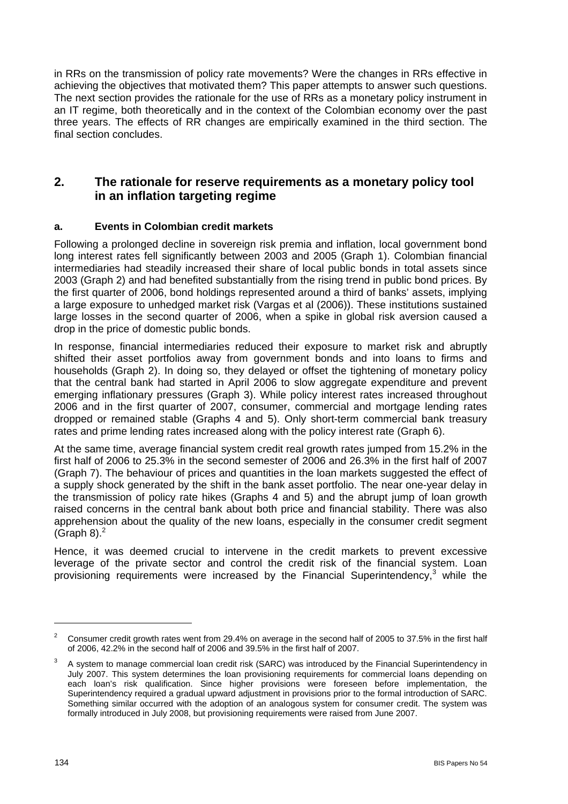in RRs on the transmission of policy rate movements? Were the changes in RRs effective in achieving the objectives that motivated them? This paper attempts to answer such questions. The next section provides the rationale for the use of RRs as a monetary policy instrument in an IT regime, both theoretically and in the context of the Colombian economy over the past three years. The effects of RR changes are empirically examined in the third section. The final section concludes.

### **2. The rationale for reserve requirements as a monetary policy tool in an inflation targeting regime**

### **a. Events in Colombian credit markets**

Following a prolonged decline in sovereign risk premia and inflation, local government bond long interest rates fell significantly between 2003 and 2005 (Graph 1). Colombian financial intermediaries had steadily increased their share of local public bonds in total assets since 2003 (Graph 2) and had benefited substantially from the rising trend in public bond prices. By the first quarter of 2006, bond holdings represented around a third of banks' assets, implying a large exposure to unhedged market risk (Vargas et al (2006)). These institutions sustained large losses in the second quarter of 2006, when a spike in global risk aversion caused a drop in the price of domestic public bonds.

In response, financial intermediaries reduced their exposure to market risk and abruptly shifted their asset portfolios away from government bonds and into loans to firms and households (Graph 2). In doing so, they delayed or offset the tightening of monetary policy that the central bank had started in April 2006 to slow aggregate expenditure and prevent emerging inflationary pressures (Graph 3). While policy interest rates increased throughout 2006 and in the first quarter of 2007, consumer, commercial and mortgage lending rates dropped or remained stable (Graphs 4 and 5). Only short-term commercial bank treasury rates and prime lending rates increased along with the policy interest rate (Graph 6).

At the same time, average financial system credit real growth rates jumped from 15.2% in the first half of 2006 to 25.3% in the second semester of 2006 and 26.3% in the first half of 2007 (Graph 7). The behaviour of prices and quantities in the loan markets suggested the effect of a supply shock generated by the shift in the bank asset portfolio. The near one-year delay in the transmission of policy rate hikes (Graphs 4 and 5) and the abrupt jump of loan growth raised concerns in the central bank about both price and financial stability. There was also apprehension about the quality of the new loans, especially in the consumer credit segment  $(Graph 8)<sup>2</sup>$ 

Hence, it was deemed crucial to intervene in the credit markets to prevent excessive leverage of the private sector and control the credit risk of the financial system. Loan provisioning requirements were increased by the Financial Superintendency,<sup>3</sup> while the

 $\overline{a}$ 

<sup>2</sup> Consumer credit growth rates went from 29.4% on average in the second half of 2005 to 37.5% in the first half of 2006, 42.2% in the second half of 2006 and 39.5% in the first half of 2007.

<sup>3</sup> A system to manage commercial loan credit risk (SARC) was introduced by the Financial Superintendency in July 2007. This system determines the loan provisioning requirements for commercial loans depending on each loan's risk qualification. Since higher provisions were foreseen before implementation, the Superintendency required a gradual upward adjustment in provisions prior to the formal introduction of SARC. Something similar occurred with the adoption of an analogous system for consumer credit. The system was formally introduced in July 2008, but provisioning requirements were raised from June 2007.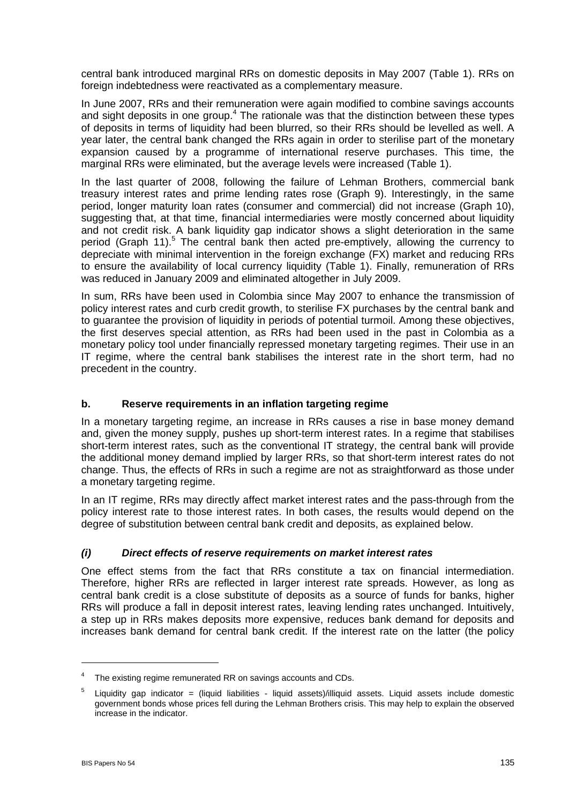central bank introduced marginal RRs on domestic deposits in May 2007 (Table 1). RRs on foreign indebtedness were reactivated as a complementary measure.

In June 2007, RRs and their remuneration were again modified to combine savings accounts and sight deposits in one group.<sup>4</sup> The rationale was that the distinction between these types of deposits in terms of liquidity had been blurred, so their RRs should be levelled as well. A year later, the central bank changed the RRs again in order to sterilise part of the monetary expansion caused by a programme of international reserve purchases. This time, the marginal RRs were eliminated, but the average levels were increased (Table 1).

In the last quarter of 2008, following the failure of Lehman Brothers, commercial bank treasury interest rates and prime lending rates rose (Graph 9). Interestingly, in the same period, longer maturity loan rates (consumer and commercial) did not increase (Graph 10), suggesting that, at that time, financial intermediaries were mostly concerned about liquidity and not credit risk. A bank liquidity gap indicator shows a slight deterioration in the same period (Graph 11).<sup>5</sup> The central bank then acted pre-emptively, allowing the currency to depreciate with minimal intervention in the foreign exchange (FX) market and reducing RRs to ensure the availability of local currency liquidity (Table 1). Finally, remuneration of RRs was reduced in January 2009 and eliminated altogether in July 2009.

In sum, RRs have been used in Colombia since May 2007 to enhance the transmission of policy interest rates and curb credit growth, to sterilise FX purchases by the central bank and to guarantee the provision of liquidity in periods of potential turmoil. Among these objectives, the first deserves special attention, as RRs had been used in the past in Colombia as a monetary policy tool under financially repressed monetary targeting regimes. Their use in an IT regime, where the central bank stabilises the interest rate in the short term, had no precedent in the country.

#### **b. Reserve requirements in an inflation targeting regime**

In a monetary targeting regime, an increase in RRs causes a rise in base money demand and, given the money supply, pushes up short-term interest rates. In a regime that stabilises short-term interest rates, such as the conventional IT strategy, the central bank will provide the additional money demand implied by larger RRs, so that short-term interest rates do not change. Thus, the effects of RRs in such a regime are not as straightforward as those under a monetary targeting regime.

In an IT regime, RRs may directly affect market interest rates and the pass-through from the policy interest rate to those interest rates. In both cases, the results would depend on the degree of substitution between central bank credit and deposits, as explained below.

#### *(i) Direct effects of reserve requirements on market interest rates*

One effect stems from the fact that RRs constitute a tax on financial intermediation. Therefore, higher RRs are reflected in larger interest rate spreads. However, as long as central bank credit is a close substitute of deposits as a source of funds for banks, higher RRs will produce a fall in deposit interest rates, leaving lending rates unchanged. Intuitively, a step up in RRs makes deposits more expensive, reduces bank demand for deposits and increases bank demand for central bank credit. If the interest rate on the latter (the policy

<sup>4</sup> The existing regime remunerated RR on savings accounts and CDs.

<sup>5</sup> Liquidity gap indicator = (liquid liabilities - liquid assets)/illiquid assets. Liquid assets include domestic government bonds whose prices fell during the Lehman Brothers crisis. This may help to explain the observed increase in the indicator.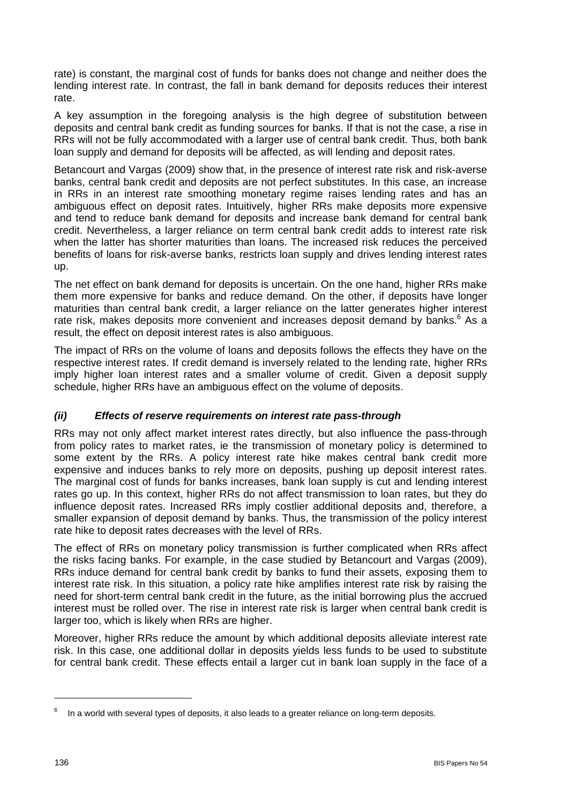rate) is constant, the marginal cost of funds for banks does not change and neither does the lending interest rate. In contrast, the fall in bank demand for deposits reduces their interest rate.

A key assumption in the foregoing analysis is the high degree of substitution between deposits and central bank credit as funding sources for banks. If that is not the case, a rise in RRs will not be fully accommodated with a larger use of central bank credit. Thus, both bank loan supply and demand for deposits will be affected, as will lending and deposit rates.

Betancourt and Vargas (2009) show that, in the presence of interest rate risk and risk-averse banks, central bank credit and deposits are not perfect substitutes. In this case, an increase in RRs in an interest rate smoothing monetary regime raises lending rates and has an ambiguous effect on deposit rates. Intuitively, higher RRs make deposits more expensive and tend to reduce bank demand for deposits and increase bank demand for central bank credit. Nevertheless, a larger reliance on term central bank credit adds to interest rate risk when the latter has shorter maturities than loans. The increased risk reduces the perceived benefits of loans for risk-averse banks, restricts loan supply and drives lending interest rates up.

The net effect on bank demand for deposits is uncertain. On the one hand, higher RRs make them more expensive for banks and reduce demand. On the other, if deposits have longer maturities than central bank credit, a larger reliance on the latter generates higher interest rate risk, makes deposits more convenient and increases deposit demand by banks.<sup>6</sup> As a result, the effect on deposit interest rates is also ambiguous.

The impact of RRs on the volume of loans and deposits follows the effects they have on the respective interest rates. If credit demand is inversely related to the lending rate, higher RRs imply higher loan interest rates and a smaller volume of credit. Given a deposit supply schedule, higher RRs have an ambiguous effect on the volume of deposits.

### *(ii) Effects of reserve requirements on interest rate pass-through*

RRs may not only affect market interest rates directly, but also influence the pass-through from policy rates to market rates, ie the transmission of monetary policy is determined to some extent by the RRs. A policy interest rate hike makes central bank credit more expensive and induces banks to rely more on deposits, pushing up deposit interest rates. The marginal cost of funds for banks increases, bank loan supply is cut and lending interest rates go up. In this context, higher RRs do not affect transmission to loan rates, but they do influence deposit rates. Increased RRs imply costlier additional deposits and, therefore, a smaller expansion of deposit demand by banks. Thus, the transmission of the policy interest rate hike to deposit rates decreases with the level of RRs.

The effect of RRs on monetary policy transmission is further complicated when RRs affect the risks facing banks. For example, in the case studied by Betancourt and Vargas (2009), RRs induce demand for central bank credit by banks to fund their assets, exposing them to interest rate risk. In this situation, a policy rate hike amplifies interest rate risk by raising the need for short-term central bank credit in the future, as the initial borrowing plus the accrued interest must be rolled over. The rise in interest rate risk is larger when central bank credit is larger too, which is likely when RRs are higher.

Moreover, higher RRs reduce the amount by which additional deposits alleviate interest rate risk. In this case, one additional dollar in deposits yields less funds to be used to substitute for central bank credit. These effects entail a larger cut in bank loan supply in the face of a

<sup>6</sup> In a world with several types of deposits, it also leads to a greater reliance on long-term deposits.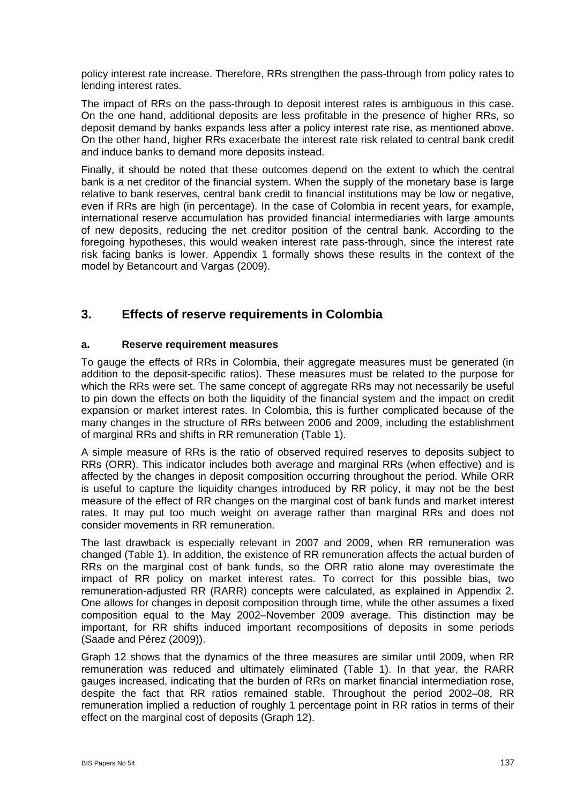policy interest rate increase. Therefore, RRs strengthen the pass-through from policy rates to lending interest rates.

The impact of RRs on the pass-through to deposit interest rates is ambiguous in this case. On the one hand, additional deposits are less profitable in the presence of higher RRs, so deposit demand by banks expands less after a policy interest rate rise, as mentioned above. On the other hand, higher RRs exacerbate the interest rate risk related to central bank credit and induce banks to demand more deposits instead.

Finally, it should be noted that these outcomes depend on the extent to which the central bank is a net creditor of the financial system. When the supply of the monetary base is large relative to bank reserves, central bank credit to financial institutions may be low or negative, even if RRs are high (in percentage). In the case of Colombia in recent years, for example, international reserve accumulation has provided financial intermediaries with large amounts of new deposits, reducing the net creditor position of the central bank. According to the foregoing hypotheses, this would weaken interest rate pass-through, since the interest rate risk facing banks is lower. Appendix 1 formally shows these results in the context of the model by Betancourt and Vargas (2009).

### **3. Effects of reserve requirements in Colombia**

#### **a. Reserve requirement measures**

To gauge the effects of RRs in Colombia, their aggregate measures must be generated (in addition to the deposit-specific ratios). These measures must be related to the purpose for which the RRs were set. The same concept of aggregate RRs may not necessarily be useful to pin down the effects on both the liquidity of the financial system and the impact on credit expansion or market interest rates. In Colombia, this is further complicated because of the many changes in the structure of RRs between 2006 and 2009, including the establishment of marginal RRs and shifts in RR remuneration (Table 1).

A simple measure of RRs is the ratio of observed required reserves to deposits subject to RRs (ORR). This indicator includes both average and marginal RRs (when effective) and is affected by the changes in deposit composition occurring throughout the period. While ORR is useful to capture the liquidity changes introduced by RR policy, it may not be the best measure of the effect of RR changes on the marginal cost of bank funds and market interest rates. It may put too much weight on average rather than marginal RRs and does not consider movements in RR remuneration.

The last drawback is especially relevant in 2007 and 2009, when RR remuneration was changed (Table 1). In addition, the existence of RR remuneration affects the actual burden of RRs on the marginal cost of bank funds, so the ORR ratio alone may overestimate the impact of RR policy on market interest rates. To correct for this possible bias, two remuneration-adjusted RR (RARR) concepts were calculated, as explained in Appendix 2. One allows for changes in deposit composition through time, while the other assumes a fixed composition equal to the May 2002–November 2009 average. This distinction may be important, for RR shifts induced important recompositions of deposits in some periods (Saade and Pérez (2009)).

Graph 12 shows that the dynamics of the three measures are similar until 2009, when RR remuneration was reduced and ultimately eliminated (Table 1). In that year, the RARR gauges increased, indicating that the burden of RRs on market financial intermediation rose, despite the fact that RR ratios remained stable. Throughout the period 2002–08, RR remuneration implied a reduction of roughly 1 percentage point in RR ratios in terms of their effect on the marginal cost of deposits (Graph 12).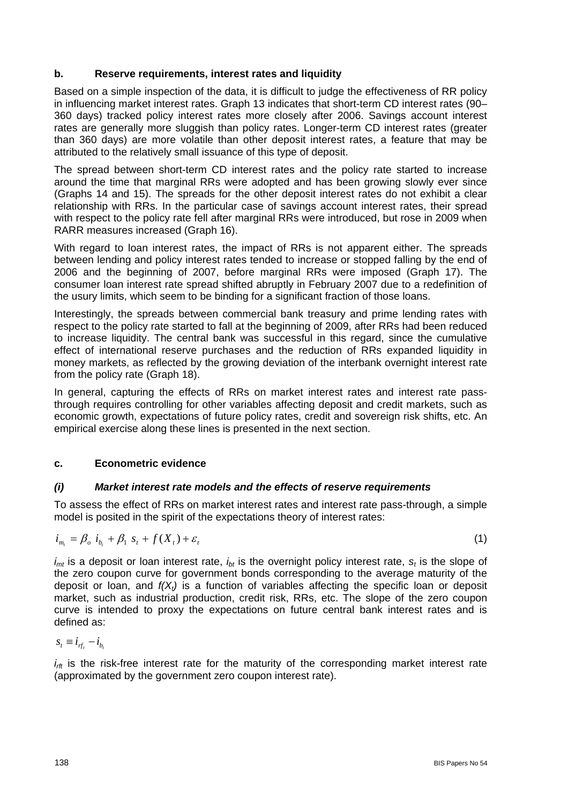#### **b. Reserve requirements, interest rates and liquidity**

Based on a simple inspection of the data, it is difficult to judge the effectiveness of RR policy in influencing market interest rates. Graph 13 indicates that short-term CD interest rates (90– 360 days) tracked policy interest rates more closely after 2006. Savings account interest rates are generally more sluggish than policy rates. Longer-term CD interest rates (greater than 360 days) are more volatile than other deposit interest rates, a feature that may be attributed to the relatively small issuance of this type of deposit.

The spread between short-term CD interest rates and the policy rate started to increase around the time that marginal RRs were adopted and has been growing slowly ever since (Graphs 14 and 15). The spreads for the other deposit interest rates do not exhibit a clear relationship with RRs. In the particular case of savings account interest rates, their spread with respect to the policy rate fell after marginal RRs were introduced, but rose in 2009 when RARR measures increased (Graph 16).

With regard to loan interest rates, the impact of RRs is not apparent either. The spreads between lending and policy interest rates tended to increase or stopped falling by the end of 2006 and the beginning of 2007, before marginal RRs were imposed (Graph 17). The consumer loan interest rate spread shifted abruptly in February 2007 due to a redefinition of the usury limits, which seem to be binding for a significant fraction of those loans.

Interestingly, the spreads between commercial bank treasury and prime lending rates with respect to the policy rate started to fall at the beginning of 2009, after RRs had been reduced to increase liquidity. The central bank was successful in this regard, since the cumulative effect of international reserve purchases and the reduction of RRs expanded liquidity in money markets, as reflected by the growing deviation of the interbank overnight interest rate from the policy rate (Graph 18).

In general, capturing the effects of RRs on market interest rates and interest rate passthrough requires controlling for other variables affecting deposit and credit markets, such as economic growth, expectations of future policy rates, credit and sovereign risk shifts, etc. An empirical exercise along these lines is presented in the next section.

#### **c. Econometric evidence**

#### *(i) Market interest rate models and the effects of reserve requirements*

To assess the effect of RRs on market interest rates and interest rate pass-through, a simple model is posited in the spirit of the expectations theory of interest rates:

$$
i_{m_t} = \beta_o \, i_{b_t} + \beta_1 \, s_t + f(X_t) + \varepsilon_t \tag{1}
$$

 $i<sub>mt</sub>$  is a deposit or loan interest rate,  $i<sub>bt</sub>$  is the overnight policy interest rate,  $s<sub>t</sub>$  is the slope of the zero coupon curve for government bonds corresponding to the average maturity of the deposit or loan, and *f(Xt)* is a function of variables affecting the specific loan or deposit market, such as industrial production, credit risk, RRs, etc. The slope of the zero coupon curve is intended to proxy the expectations on future central bank interest rates and is defined as:

$$
s_t \equiv i_{rf_t} - i_{b_t}
$$

 $i_{\text{rf}}$  is the risk-free interest rate for the maturity of the corresponding market interest rate (approximated by the government zero coupon interest rate).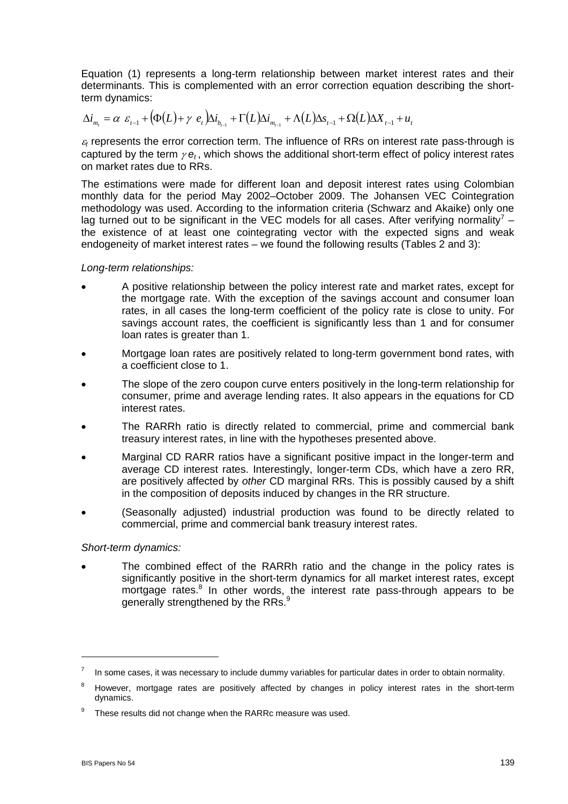Equation (1) represents a long-term relationship between market interest rates and their determinants. This is complemented with an error correction equation describing the shortterm dynamics:

$$
\Delta i_{m_t} = \alpha \varepsilon_{t-1} + \left(\Phi(L) + \gamma e_t\right) \Delta i_{b_{t-1}} + \Gamma(L) \Delta i_{m_{t-1}} + \Lambda(L) \Delta s_{t-1} + \Omega(L) \Delta X_{t-1} + u_t
$$

 $\varepsilon_t$  represents the error correction term. The influence of RRs on interest rate pass-through is captured by the term  $\gamma e_t$ , which shows the additional short-term effect of policy interest rates on market rates due to RRs.

The estimations were made for different loan and deposit interest rates using Colombian monthly data for the period May 2002–October 2009. The Johansen VEC Cointegration methodology was used. According to the information criteria (Schwarz and Akaike) only one lag turned out to be significant in the VEC models for all cases. After verifying normality<sup>7</sup> the existence of at least one cointegrating vector with the expected signs and weak endogeneity of market interest rates – we found the following results (Tables 2 and 3):

#### *Long-term relationships:*

- A positive relationship between the policy interest rate and market rates, except for the mortgage rate. With the exception of the savings account and consumer loan rates, in all cases the long-term coefficient of the policy rate is close to unity. For savings account rates, the coefficient is significantly less than 1 and for consumer loan rates is greater than 1.
- Mortgage loan rates are positively related to long-term government bond rates, with a coefficient close to 1.
- The slope of the zero coupon curve enters positively in the long-term relationship for consumer, prime and average lending rates. It also appears in the equations for CD interest rates.
- The RARRh ratio is directly related to commercial, prime and commercial bank treasury interest rates, in line with the hypotheses presented above.
- Marginal CD RARR ratios have a significant positive impact in the longer-term and average CD interest rates. Interestingly, longer-term CDs, which have a zero RR, are positively affected by *other* CD marginal RRs. This is possibly caused by a shift in the composition of deposits induced by changes in the RR structure.
- (Seasonally adjusted) industrial production was found to be directly related to commercial, prime and commercial bank treasury interest rates.

#### *Short-term dynamics:*

 The combined effect of the RARRh ratio and the change in the policy rates is significantly positive in the short-term dynamics for all market interest rates, except mortgage rates.<sup>8</sup> In other words, the interest rate pass-through appears to be generally strengthened by the RRs.<sup>9</sup>

<sup>7</sup> In some cases, it was necessary to include dummy variables for particular dates in order to obtain normality.

<sup>8</sup> However, mortgage rates are positively affected by changes in policy interest rates in the short-term dynamics.

<sup>9</sup> These results did not change when the RARRc measure was used.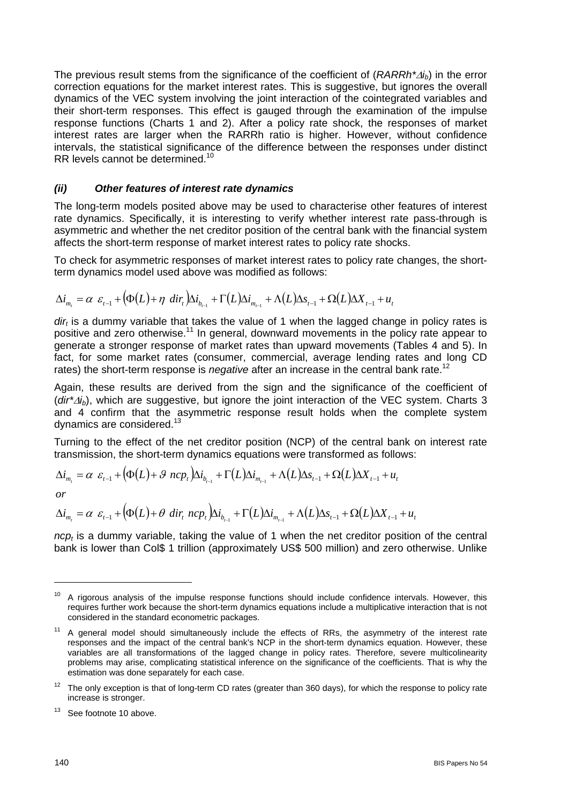The previous result stems from the significance of the coefficient of (*RARRh\*ib*) in the error correction equations for the market interest rates. This is suggestive, but ignores the overall dynamics of the VEC system involving the joint interaction of the cointegrated variables and their short-term responses. This effect is gauged through the examination of the impulse response functions (Charts 1 and 2). After a policy rate shock, the responses of market interest rates are larger when the RARRh ratio is higher. However, without confidence intervals, the statistical significance of the difference between the responses under distinct RR levels cannot be determined.<sup>10</sup>

#### *(ii) Other features of interest rate dynamics*

The long-term models posited above may be used to characterise other features of interest rate dynamics. Specifically, it is interesting to verify whether interest rate pass-through is asymmetric and whether the net creditor position of the central bank with the financial system affects the short-term response of market interest rates to policy rate shocks.

To check for asymmetric responses of market interest rates to policy rate changes, the shortterm dynamics model used above was modified as follows:

$$
\Delta i_{m_t} = \alpha \ \varepsilon_{t-1} + \left(\Phi(L) + \eta \ \text{dir}_t\right) \Delta i_{b_{t-1}} + \Gamma(L) \Delta i_{m_{t-1}} + \Lambda(L) \Delta s_{t-1} + \Omega(L) \Delta X_{t-1} + u_t
$$

dir<sub>t</sub> is a dummy variable that takes the value of 1 when the lagged change in policy rates is positive and zero otherwise.<sup>11</sup> In general, downward movements in the policy rate appear to generate a stronger response of market rates than upward movements (Tables 4 and 5). In fact, for some market rates (consumer, commercial, average lending rates and long CD rates) the short-term response is *negative* after an increase in the central bank rate.<sup>12</sup>

Again, these results are derived from the sign and the significance of the coefficient of (*dir<sup>\*</sup>* $\Delta i$ *b*), which are suggestive, but ignore the joint interaction of the VEC system. Charts 3 and 4 confirm that the asymmetric response result holds when the complete system dynamics are considered.<sup>13</sup>

Turning to the effect of the net creditor position (NCP) of the central bank on interest rate transmission, the short-term dynamics equations were transformed as follows:

$$
\Delta i_{m_t} = \alpha \varepsilon_{t-1} + \left(\Phi(L) + \mathcal{G} \text{ ncp}_t\right) \Delta i_{b_{t-1}} + \Gamma(L) \Delta i_{m_{t-1}} + \Lambda(L) \Delta s_{t-1} + \Omega(L) \Delta X_{t-1} + u_t
$$

 $\sim$ 

*or*

$$
\Delta i_{m_t} = \alpha \varepsilon_{t-1} + \left(\Phi(L) + \theta \operatorname{dir}_t ncp_t\right) \Delta i_{b_{t-1}} + \Gamma(L)\Delta i_{m_{t-1}} + \Lambda(L)\Delta s_{t-1} + \Omega(L)\Delta X_{t-1} + u_t
$$

*ncp<sub>t</sub>* is a dummy variable, taking the value of 1 when the net creditor position of the central bank is lower than Col\$ 1 trillion (approximately US\$ 500 million) and zero otherwise. Unlike

 $10$  A rigorous analysis of the impulse response functions should include confidence intervals. However, this requires further work because the short-term dynamics equations include a multiplicative interaction that is not considered in the standard econometric packages.

<sup>&</sup>lt;sup>11</sup> A general model should simultaneously include the effects of RRs, the asymmetry of the interest rate responses and the impact of the central bank's NCP in the short-term dynamics equation. However, these variables are all transformations of the lagged change in policy rates. Therefore, severe multicolinearity problems may arise, complicating statistical inference on the significance of the coefficients. That is why the estimation was done separately for each case.

 $12$  The only exception is that of long-term CD rates (greater than 360 days), for which the response to policy rate increase is stronger.

 $13$  See footnote 10 above.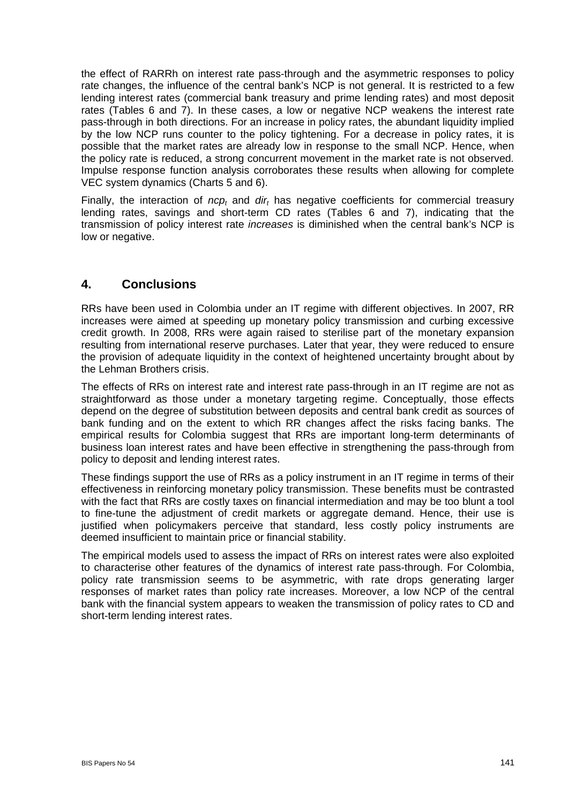the effect of RARRh on interest rate pass-through and the asymmetric responses to policy rate changes, the influence of the central bank's NCP is not general. It is restricted to a few lending interest rates (commercial bank treasury and prime lending rates) and most deposit rates (Tables 6 and 7). In these cases, a low or negative NCP weakens the interest rate pass-through in both directions. For an increase in policy rates, the abundant liquidity implied by the low NCP runs counter to the policy tightening. For a decrease in policy rates, it is possible that the market rates are already low in response to the small NCP. Hence, when the policy rate is reduced, a strong concurrent movement in the market rate is not observed*.* Impulse response function analysis corroborates these results when allowing for complete VEC system dynamics (Charts 5 and 6).

Finally, the interaction of  $ncp<sub>t</sub>$  and  $dir<sub>t</sub>$  has negative coefficients for commercial treasury lending rates, savings and short-term CD rates (Tables 6 and 7), indicating that the transmission of policy interest rate *increases* is diminished when the central bank's NCP is low or negative.

## **4. Conclusions**

RRs have been used in Colombia under an IT regime with different objectives. In 2007, RR increases were aimed at speeding up monetary policy transmission and curbing excessive credit growth. In 2008, RRs were again raised to sterilise part of the monetary expansion resulting from international reserve purchases. Later that year, they were reduced to ensure the provision of adequate liquidity in the context of heightened uncertainty brought about by the Lehman Brothers crisis.

The effects of RRs on interest rate and interest rate pass-through in an IT regime are not as straightforward as those under a monetary targeting regime. Conceptually, those effects depend on the degree of substitution between deposits and central bank credit as sources of bank funding and on the extent to which RR changes affect the risks facing banks. The empirical results for Colombia suggest that RRs are important long-term determinants of business loan interest rates and have been effective in strengthening the pass-through from policy to deposit and lending interest rates.

These findings support the use of RRs as a policy instrument in an IT regime in terms of their effectiveness in reinforcing monetary policy transmission. These benefits must be contrasted with the fact that RRs are costly taxes on financial intermediation and may be too blunt a tool to fine-tune the adjustment of credit markets or aggregate demand. Hence, their use is justified when policymakers perceive that standard, less costly policy instruments are deemed insufficient to maintain price or financial stability.

The empirical models used to assess the impact of RRs on interest rates were also exploited to characterise other features of the dynamics of interest rate pass-through. For Colombia, policy rate transmission seems to be asymmetric, with rate drops generating larger responses of market rates than policy rate increases. Moreover, a low NCP of the central bank with the financial system appears to weaken the transmission of policy rates to CD and short-term lending interest rates.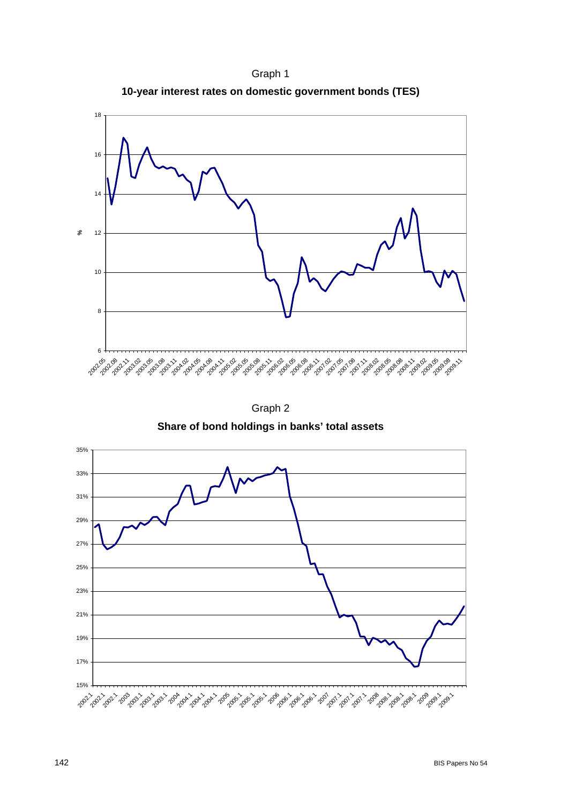



Graph 2 **Share of bond holdings in banks' total assets** 

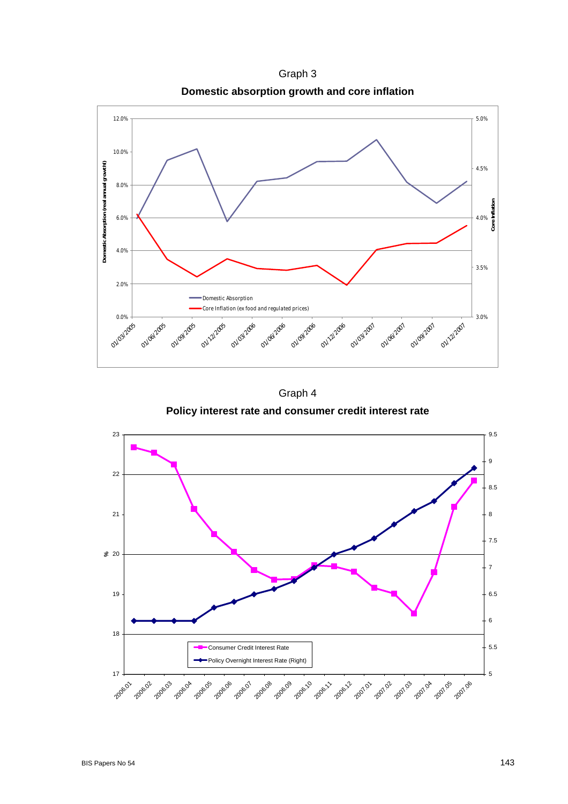Graph 3 **Domestic absorption growth and core inflation** 



Graph 4

**Policy interest rate and consumer credit interest rate** 

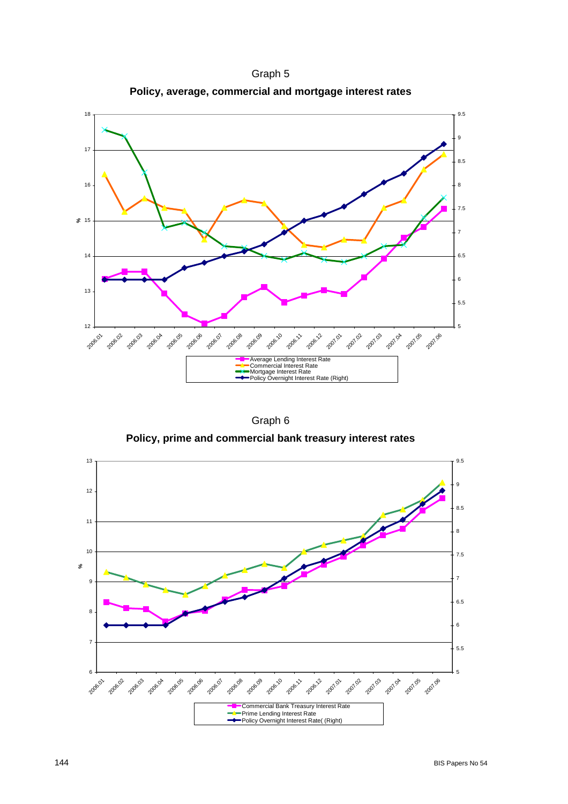



Graph 6 **Policy, prime and commercial bank treasury interest rates** 

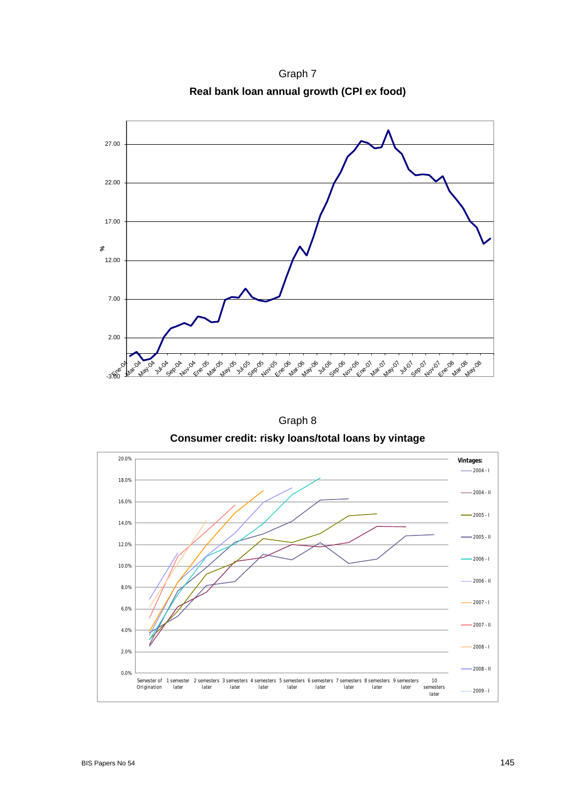Graph 7 **Real bank loan annual growth (CPI ex food)** 



Graph 8 **Consumer credit: risky loans/total loans by vintage** 

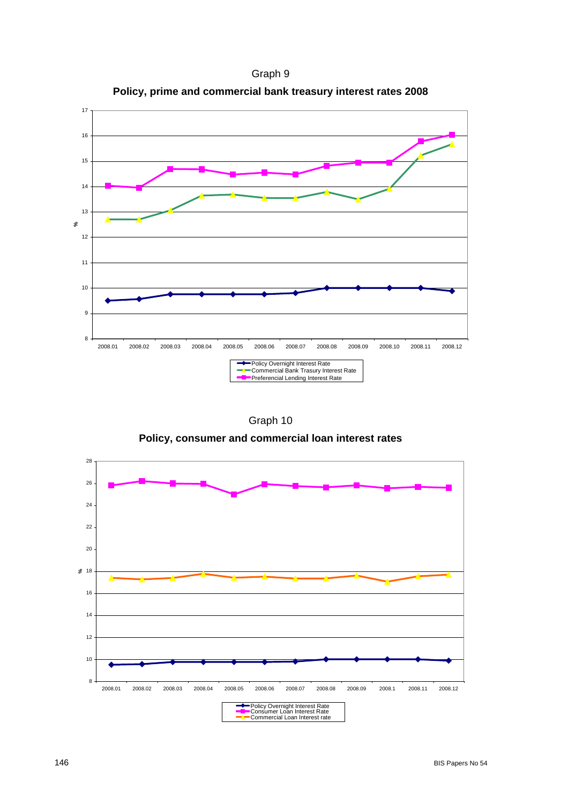



| Graph 10 |  |
|----------|--|
|----------|--|

**Policy, consumer and commercial loan interest rates** 

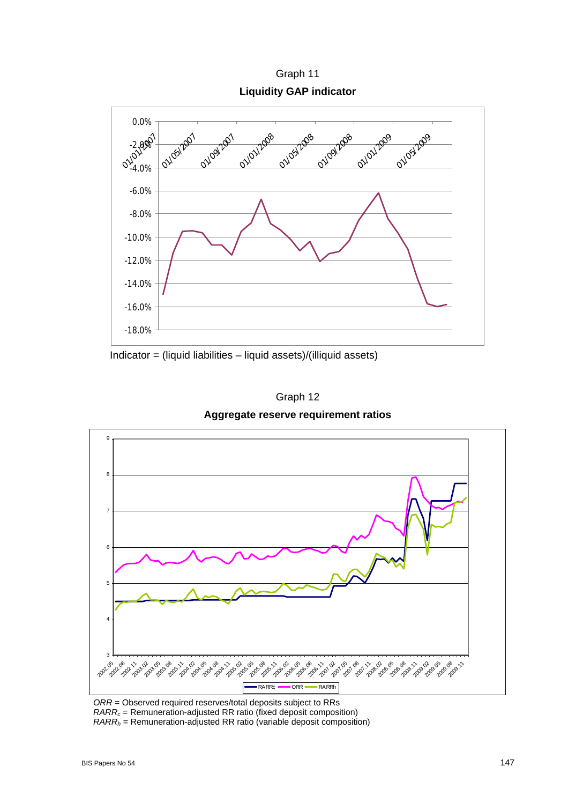Graph 11 **Liquidity GAP indicator** 



Indicator = (liquid liabilities – liquid assets)/(illiquid assets)





*ORR* = Observed required reserves/total deposits subject to RRs *RARRc* = Remuneration-adjusted RR ratio (fixed deposit composition)  $RARR<sub>n</sub>$  = Remuneration-adjusted RR ratio (variable deposit composition)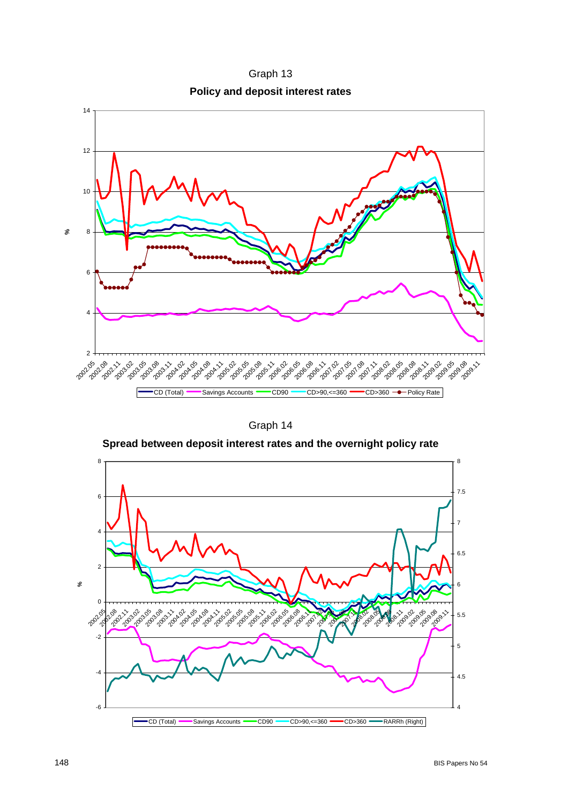Graph 13 **Policy and deposit interest rates** 

![](_page_15_Figure_1.jpeg)

Graph 14

**Spread between deposit interest rates and the overnight policy rate** 

![](_page_15_Figure_4.jpeg)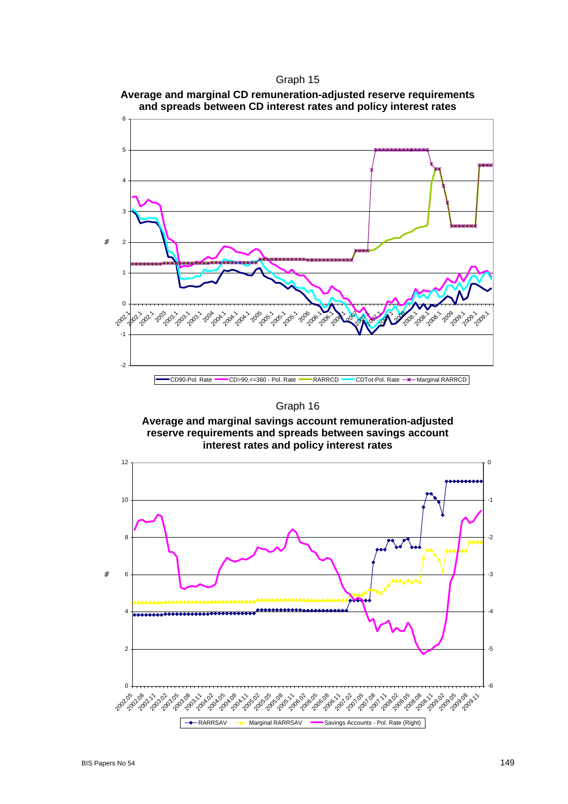![](_page_16_Figure_0.jpeg)

![](_page_16_Figure_1.jpeg)

**Average and marginal CD remuneration-adjusted reserve requirements** 

Graph 16

**Average and marginal savings account remuneration-adjusted reserve requirements and spreads between savings account interest rates and policy interest rates** 

![](_page_16_Figure_5.jpeg)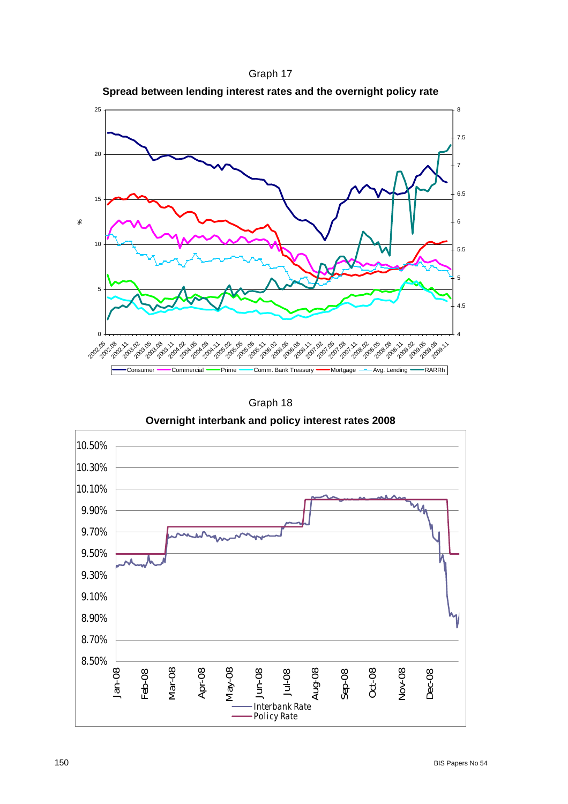![](_page_17_Figure_0.jpeg)

### Graph 18

**Overnight interbank and policy interest rates 2008** 

![](_page_17_Figure_3.jpeg)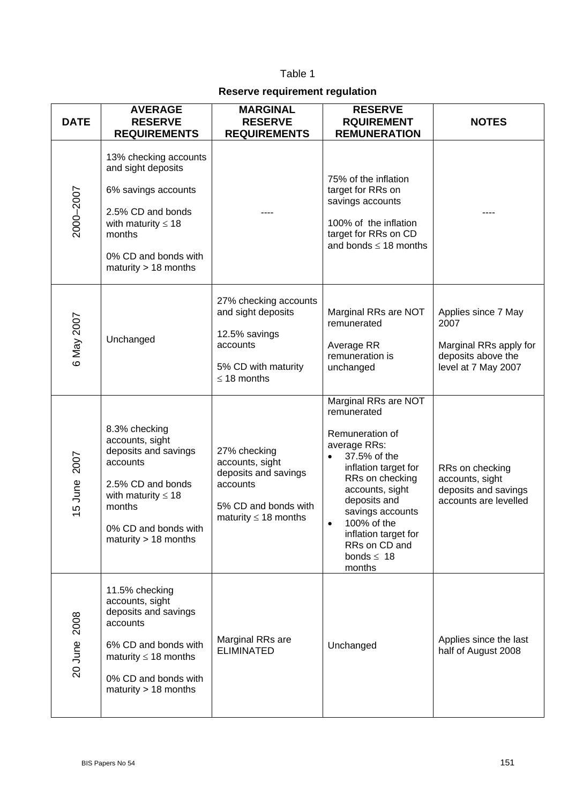# **Reserve requirement regulation**

| <b>DATE</b>  | <b>AVERAGE</b><br><b>RESERVE</b><br><b>REQUIREMENTS</b>                                                                                                                          | <b>MARGINAL</b><br><b>RESERVE</b><br><b>REQUIREMENTS</b>                                                                 | <b>RESERVE</b><br><b>RQUIREMENT</b><br><b>REMUNERATION</b>                                                                                                                                                                                                                                              | <b>NOTES</b>                                                                                       |
|--------------|----------------------------------------------------------------------------------------------------------------------------------------------------------------------------------|--------------------------------------------------------------------------------------------------------------------------|---------------------------------------------------------------------------------------------------------------------------------------------------------------------------------------------------------------------------------------------------------------------------------------------------------|----------------------------------------------------------------------------------------------------|
| 2000-2007    | 13% checking accounts<br>and sight deposits<br>6% savings accounts<br>2.5% CD and bonds<br>with maturity $\leq 18$<br>months<br>0% CD and bonds with<br>maturity $> 18$ months   |                                                                                                                          | 75% of the inflation<br>target for RRs on<br>savings accounts<br>100% of the inflation<br>target for RRs on CD<br>and bonds $\leq$ 18 months                                                                                                                                                            |                                                                                                    |
| 6 May 2007   | Unchanged                                                                                                                                                                        | 27% checking accounts<br>and sight deposits<br>12.5% savings<br>accounts<br>5% CD with maturity<br>$\leq$ 18 months      | Marginal RRs are NOT<br>remunerated<br>Average RR<br>remuneration is<br>unchanged                                                                                                                                                                                                                       | Applies since 7 May<br>2007<br>Marginal RRs apply for<br>deposits above the<br>level at 7 May 2007 |
| 15 June 2007 | 8.3% checking<br>accounts, sight<br>deposits and savings<br>accounts<br>2.5% CD and bonds<br>with maturity $\leq 18$<br>months<br>0% CD and bonds with<br>maturity $> 18$ months | 27% checking<br>accounts, sight<br>deposits and savings<br>accounts<br>5% CD and bonds with<br>maturity $\leq 18$ months | Marginal RRs are NOT<br>remunerated<br>Remuneration of<br>average RRs:<br>37.5% of the<br>$\bullet$<br>inflation target for<br>RRs on checking<br>accounts, sight<br>deposits and<br>savings accounts<br>100% of the<br>$\bullet$<br>inflation target for<br>RRs on CD and<br>bonds $\leq 18$<br>months | RRs on checking<br>accounts, sight<br>deposits and savings<br>accounts are levelled                |
| 20 June 2008 | 11.5% checking<br>accounts, sight<br>deposits and savings<br>accounts<br>6% CD and bonds with<br>maturity $\leq 18$ months<br>0% CD and bonds with<br>maturity $> 18$ months     | Marginal RRs are<br><b>ELIMINATED</b>                                                                                    | Unchanged                                                                                                                                                                                                                                                                                               | Applies since the last<br>half of August 2008                                                      |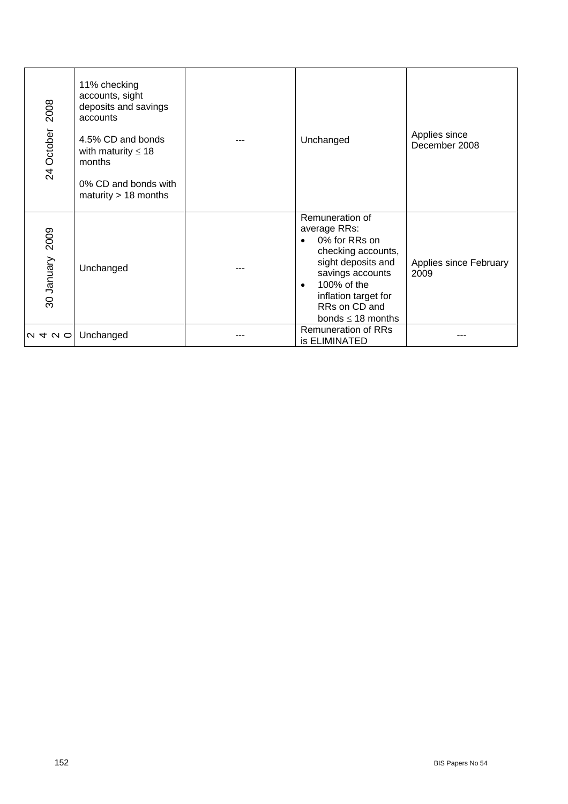| 2008<br>24 October | 11% checking<br>accounts, sight<br>deposits and savings<br>accounts<br>4.5% CD and bonds<br>with maturity $\leq 18$<br>months<br>0% CD and bonds with<br>maturity $> 18$ months | Unchanged                                                                                                                                                                                                                    | Applies since<br>December 2008 |
|--------------------|---------------------------------------------------------------------------------------------------------------------------------------------------------------------------------|------------------------------------------------------------------------------------------------------------------------------------------------------------------------------------------------------------------------------|--------------------------------|
| 30 January 2009    | Unchanged                                                                                                                                                                       | Remuneration of<br>average RRs:<br>0% for RRs on<br>$\bullet$<br>checking accounts,<br>sight deposits and<br>savings accounts<br>100% of the<br>$\bullet$<br>inflation target for<br>RRs on CD and<br>bonds $\leq$ 18 months | Applies since February<br>2009 |
| $Q \neq Q$         | Unchanged                                                                                                                                                                       | <b>Remuneration of RRs</b><br>is ELIMINATED                                                                                                                                                                                  |                                |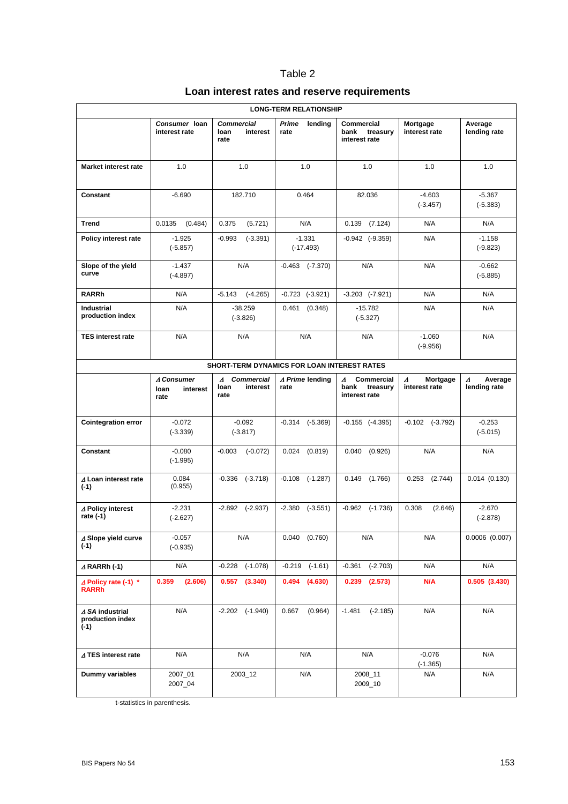### **Loan interest rates and reserve requirements**

|                                                |                                        |                                                                               | <b>LONG-TERM RELATIONSHIP</b> |                                                        |                                |                              |  |  |  |  |
|------------------------------------------------|----------------------------------------|-------------------------------------------------------------------------------|-------------------------------|--------------------------------------------------------|--------------------------------|------------------------------|--|--|--|--|
|                                                | Consumer loan<br>interest rate         | <b>Commercial</b><br>interest<br>loan<br>rate                                 | Prime<br>lending<br>rate      | <b>Commercial</b><br>bank<br>treasury<br>interest rate | Mortgage<br>interest rate      | Average<br>lending rate      |  |  |  |  |
| Market interest rate                           | 1.0                                    | 1.0                                                                           | 1.0                           | 1.0                                                    | 1.0                            | 1.0                          |  |  |  |  |
| Constant                                       | $-6.690$                               | 182.710                                                                       | 0.464                         | 82.036                                                 | $-4.603$<br>$(-3.457)$         | $-5.367$<br>$(-5.383)$       |  |  |  |  |
| <b>Trend</b>                                   | 0.0135<br>(0.484)                      | 0.375<br>(5.721)                                                              | N/A                           | $0.139$ $(7.124)$                                      | N/A                            | N/A                          |  |  |  |  |
| <b>Policy interest rate</b>                    | $-1.925$<br>$(-5.857)$                 | $-0.993$<br>$(-3.391)$                                                        | $-1.331$<br>$(-17.493)$       | $-0.942$ $(-9.359)$                                    | N/A                            | $-1.158$<br>$(-9.823)$       |  |  |  |  |
| Slope of the yield<br>curve                    | $-1.437$<br>$(-4.897)$                 | N/A                                                                           | $-0.463$ $(-7.370)$           | N/A                                                    | N/A                            | $-0.662$<br>$(-5.885)$       |  |  |  |  |
| <b>RARRh</b>                                   | N/A                                    | $-5.143$<br>$(-4.265)$                                                        | $-0.723$ $(-3.921)$           | $-3.203$ $(-7.921)$                                    | N/A                            | N/A                          |  |  |  |  |
| <b>Industrial</b><br>production index          | N/A                                    | $-38.259$<br>$(-3.826)$                                                       | 0.461<br>(0.348)              | $-15.782$<br>$(-5.327)$                                | N/A                            | N/A                          |  |  |  |  |
| <b>TES interest rate</b>                       | N/A                                    | N/A                                                                           | N/A                           | N/A                                                    | $-1.060$<br>$(-9.956)$         | N/A                          |  |  |  |  |
| SHORT-TERM DYNAMICS FOR LOAN INTEREST RATES    |                                        |                                                                               |                               |                                                        |                                |                              |  |  |  |  |
|                                                | ∆ Consumer<br>interest<br>loan<br>rate | <b>Commercial</b><br>∆ Prime lending<br>Δ<br>loan<br>interest<br>rate<br>rate |                               | Commercial<br>Δ<br>bank<br>treasury<br>interest rate   | Δ<br>Mortgage<br>interest rate | ⊿<br>Average<br>lending rate |  |  |  |  |
| <b>Cointegration error</b>                     | $-0.072$<br>$(-3.339)$                 | $-0.092$<br>$(-3.817)$                                                        | $-0.314$<br>$(-5.369)$        | $-0.155$ $(-4.395)$                                    | $-0.102$ $(-3.792)$            | $-0.253$<br>$(-5.015)$       |  |  |  |  |
| Constant                                       | $-0.080$<br>$(-1.995)$                 | $-0.003$<br>$(-0.072)$                                                        | 0.024<br>(0.819)              | 0.040<br>(0.926)                                       | N/A                            | N/A                          |  |  |  |  |
| ⊿ Loan interest rate<br>$(-1)$                 | 0.084<br>(0.955)                       | $-0.336$<br>$(-3.718)$                                                        | $-0.108$<br>$(-1.287)$        | 0.149<br>(1.766)                                       | 0.253<br>(2.744)               | 0.014(0.130)                 |  |  |  |  |
| ∆ Policy interest<br>rate (-1)                 | $-2.231$<br>$(-2.627)$                 | $-2.892$ $(-2.937)$                                                           | $-2.380$<br>$(-3.551)$        | $-0.962$ $(-1.736)$                                    | 0.308<br>(2.646)               | $-2.670$<br>$(-2.878)$       |  |  |  |  |
| ∆ Slope yield curve<br>$(-1)$                  | $-0.057$<br>$(-0.935)$                 | N/A                                                                           | 0.040<br>(0.760)              | N/A                                                    | N/A                            | $0.0006$ $(0.007)$           |  |  |  |  |
| $\triangle$ RARRh(-1)                          | N/A                                    | $(-1.078)$<br>$-0.228$                                                        | $(-1.61)$<br>-0.219           | $(-2.703)$<br>$-0.361$                                 | N/A                            | N/A                          |  |  |  |  |
| $\triangle$ Policy rate (-1) *<br><b>RARRh</b> | (2.606)<br>0.359                       | (3.340)<br>0.557                                                              | (4.630)<br>0.494              | (2.573)<br>0.239                                       | N/A                            | 0.505(3.430)                 |  |  |  |  |
| ∆ SA industrial<br>production index<br>$(-1)$  | N/A                                    | $-2.202$ $(-1.940)$                                                           | 0.667<br>(0.964)              | $(-2.185)$<br>$-1.481$                                 | N/A                            | N/A                          |  |  |  |  |
| ⊿ TES interest rate                            | N/A                                    | N/A                                                                           | N/A                           | N/A                                                    | $-0.076$<br>$(-1.365)$         | N/A                          |  |  |  |  |
| Dummy variables                                | 2007_01<br>2007_04                     | 2003_12                                                                       | N/A                           | 2008_11<br>2009_10                                     | N/A                            | N/A                          |  |  |  |  |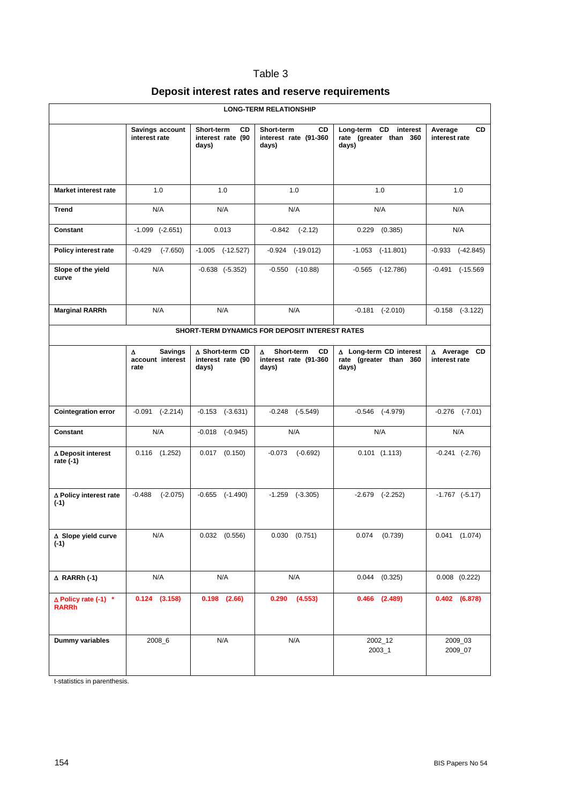# **Deposit interest rates and reserve requirements**

| <b>LONG-TERM RELATIONSHIP</b>        |                                                 |                                                |                                                                       |                                                            |                                |  |  |  |  |
|--------------------------------------|-------------------------------------------------|------------------------------------------------|-----------------------------------------------------------------------|------------------------------------------------------------|--------------------------------|--|--|--|--|
|                                      | Savings account<br>interest rate                | CD<br>Short-term<br>interest rate (90<br>days) | <b>CD</b><br>Short-term<br>interest rate (91-360<br>days)             | Long-term CD interest<br>rate (greater than 360<br>days)   | CD<br>Average<br>interest rate |  |  |  |  |
| Market interest rate                 | 1.0<br>1.0                                      |                                                | 1.0                                                                   | 1.0                                                        | 1.0                            |  |  |  |  |
| Trend                                | N/A                                             | N/A                                            | N/A                                                                   | N/A                                                        | N/A                            |  |  |  |  |
| Constant                             | $-1.099$ $(-2.651)$                             | 0.013                                          | $-0.842$ $(-2.12)$                                                    | $0.229$ $(0.385)$                                          | N/A                            |  |  |  |  |
| Policy interest rate                 | -0.429<br>(-7.650)                              | $-1.005$ $(-12.527)$                           | $-0.924$ $(-19.012)$                                                  | $-1.053$ $(-11.801)$                                       | $-0.933$ $(-42.845)$           |  |  |  |  |
| Slope of the yield<br>curve          | N/A                                             | $-0.638$ $(-5.352)$                            | $-0.550$ $(-10.88)$                                                   | $-0.565$ $(-12.786)$                                       | $-0.491$ $(-15.569)$           |  |  |  |  |
| <b>Marginal RARRh</b>                | N/A                                             | N/A                                            | N/A                                                                   | $-0.181$ $(-2.010)$                                        | $-0.158$ $(-3.122)$            |  |  |  |  |
|                                      |                                                 |                                                | SHORT-TERM DYNAMICS FOR DEPOSIT INTEREST RATES                        |                                                            |                                |  |  |  |  |
|                                      | Δ<br><b>Savings</b><br>account interest<br>rate | ∆ Short-term CD<br>interest rate (90<br>days)  | <b>CD</b><br>$\Delta$<br>Short-term<br>interest rate (91-360<br>days) | ∆ Long-term CD interest<br>rate (greater than 360<br>days) | ∆ Average CD<br>interest rate  |  |  |  |  |
| <b>Cointegration error</b>           | $-0.091$ $(-2.214)$                             | $-0.153$ $(-3.631)$                            | $-0.248$ $(-5.549)$                                                   | $-0.546$ $(-4.979)$                                        | $-0.276$ $(-7.01)$             |  |  |  |  |
| Constant                             | N/A                                             | $-0.018$ $(-0.945)$                            | N/A                                                                   | N/A                                                        | N/A                            |  |  |  |  |
| ∆ Deposit interest<br>rate (-1)      | $0.116$ $(1.252)$                               | $0.017$ $(0.150)$                              | $-0.073$ $(-0.692)$                                                   | $0.101$ $(1.113)$                                          | $-0.241$ $(-2.76)$             |  |  |  |  |
| ∆ Policy interest rate<br>$(-1)$     | $-0.488$<br>$(-2.075)$                          | $-0.655$ $(-1.490)$                            | $-1.259$ $(-3.305)$                                                   | $-2.679$ $(-2.252)$                                        | $-1.767$ $(-5.17)$             |  |  |  |  |
| ∆ Slope yield curve<br>$(-1)$        | N/A                                             | $0.032$ $(0.556)$                              | $0.030$ $(0.751)$                                                     | 0.074<br>(0.739)                                           | 0.041<br>(1.074)               |  |  |  |  |
| $\triangle$ RARRh (-1)               | N/A                                             | N/A                                            | N/A                                                                   | $0.044$ $(0.325)$                                          | $0.008$ $(0.222)$              |  |  |  |  |
| ∆ Policy rate (-1) *<br><b>RARRh</b> | $0.124$ $(3.158)$                               | $0.198$ $(2.66)$                               | 0.290<br>(4.553)                                                      | $0.466$ $(2.489)$                                          | $0.402$ $(6.878)$              |  |  |  |  |
| Dummy variables                      | 2008_6                                          | N/A                                            | N/A                                                                   | 2002_12<br>$2003 - 1$                                      | 2009_03<br>2009_07             |  |  |  |  |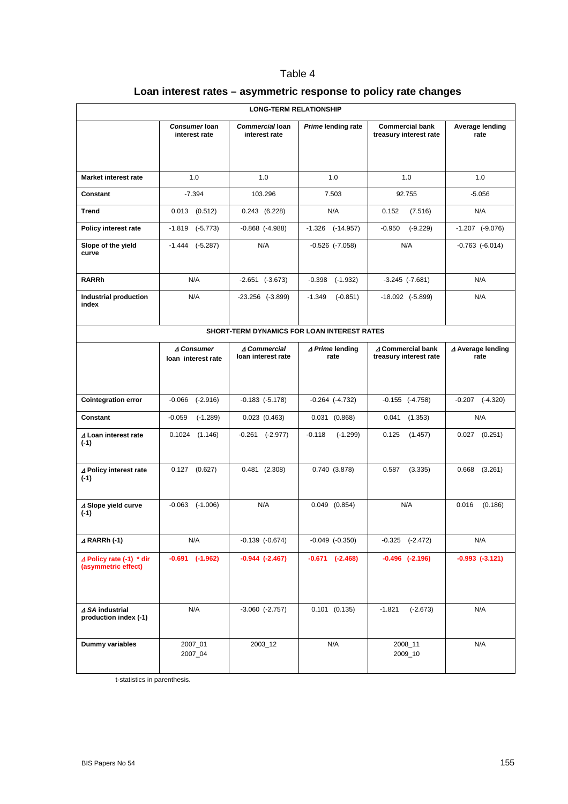# **Loan interest rates – asymmetric response to policy rate changes**

| <b>LONG-TERM RELATIONSHIP</b>                   |                                  |                                    |                                             |                                                  |                           |  |  |  |  |  |
|-------------------------------------------------|----------------------------------|------------------------------------|---------------------------------------------|--------------------------------------------------|---------------------------|--|--|--|--|--|
|                                                 | Consumer Ioan<br>interest rate   | Commercial Ioan<br>interest rate   | Prime lending rate                          | <b>Commercial bank</b><br>treasury interest rate | Average lending<br>rate   |  |  |  |  |  |
| Market interest rate                            | 1.0                              | 1.0                                | 1.0                                         | 1.0                                              | 1.0                       |  |  |  |  |  |
| Constant                                        | $-7.394$                         | 103.296                            | 7.503                                       | 92.755                                           | $-5.056$                  |  |  |  |  |  |
| <b>Trend</b>                                    | $0.013$ $(0.512)$                | $0.243$ $(6.228)$                  | N/A                                         | 0.152<br>(7.516)                                 | N/A                       |  |  |  |  |  |
| Policy interest rate                            | $-1.819$ $(-5.773)$              | $-0.868$ $(-4.988)$                | $-1.326$ $(-14.957)$                        | $-0.950$<br>$(-9.229)$                           | $-1.207$ $(-9.076)$       |  |  |  |  |  |
| Slope of the yield<br>curve                     | $-1.444$ $(-5.287)$              | N/A                                | $-0.526$ $(-7.058)$                         | N/A                                              | $-0.763$ $(-6.014)$       |  |  |  |  |  |
| <b>RARRh</b>                                    | N/A                              | $-2.651$ $(-3.673)$                | $-0.398$ $(-1.932)$                         | $-3.245$ $(-7.681)$                              | N/A                       |  |  |  |  |  |
| Industrial production<br>index                  | N/A                              | $-23.256$ $(-3.899)$               | $-1.349$<br>$(-0.851)$                      | -18.092 (-5.899)                                 | N/A                       |  |  |  |  |  |
|                                                 |                                  |                                    | SHORT-TERM DYNAMICS FOR LOAN INTEREST RATES |                                                  |                           |  |  |  |  |  |
|                                                 | ∆ Consumer<br>loan interest rate | ∆ Commercial<br>loan interest rate | ∆ Prime lending<br>rate                     | ∆ Commercial bank<br>treasury interest rate      | ∆ Average lending<br>rate |  |  |  |  |  |
|                                                 |                                  |                                    |                                             |                                                  |                           |  |  |  |  |  |
| <b>Cointegration error</b>                      | $-0.066$<br>$(-2.916)$           | $-0.183$ $(-5.178)$                | $-0.264$ $(-4.732)$                         | $-0.155$ $(-4.758)$                              | $-0.207$ $(-4.320)$       |  |  |  |  |  |
| Constant                                        | $-0.059$<br>$(-1.289)$           | $0.023$ $(0.463)$                  | $0.031$ $(0.868)$                           | 0.041<br>(1.353)                                 | N/A                       |  |  |  |  |  |
| ⊿ Loan interest rate<br>$(-1)$                  | 0.1024<br>(1.146)                | -0.261<br>$(-2.977)$               | $-0.118$<br>$(-1.299)$                      | 0.125<br>(1.457)                                 | $0.027$ $(0.251)$         |  |  |  |  |  |
| ∆ Policy interest rate<br>$(-1)$                | $0.127$ $(0.627)$                | $0.481$ $(2.308)$                  | 0.740 (3.878)                               | 0.587<br>(3.335)                                 | 0.668<br>(3.261)          |  |  |  |  |  |
| ∆ Slope yield curve<br>$(-1)$                   | $-0.063$ $(-1.006)$              | N/A                                | $0.049$ $(0.854)$                           | N/A                                              | 0.016<br>(0.186)          |  |  |  |  |  |
| $\triangle$ RARRh (-1)                          | N/A                              | $-0.139$ $(-0.674)$                | $-0.049$ $(-0.350)$                         | $-0.325$ $(-2.472)$                              | N/A                       |  |  |  |  |  |
| ∆ Policy rate (-1) * dir<br>(asymmetric effect) | $-0.691$ $(-1.962)$              | $-0.944$ $(-2.467)$                | $-0.671$ $(-2.468)$                         | $-0.496$ $(-2.196)$                              | $-0.993$ $(-3.121)$       |  |  |  |  |  |
| ∆ SA industrial<br>production index (-1)        | N/A                              | $-3.060$ $(-2.757)$                | $0.101$ $(0.135)$                           | $-1.821$<br>$(-2.673)$                           | N/A                       |  |  |  |  |  |
| Dummy variables                                 | 2007_01<br>2007_04               | 2003_12                            | N/A                                         | 2008_11<br>2009_10                               | N/A                       |  |  |  |  |  |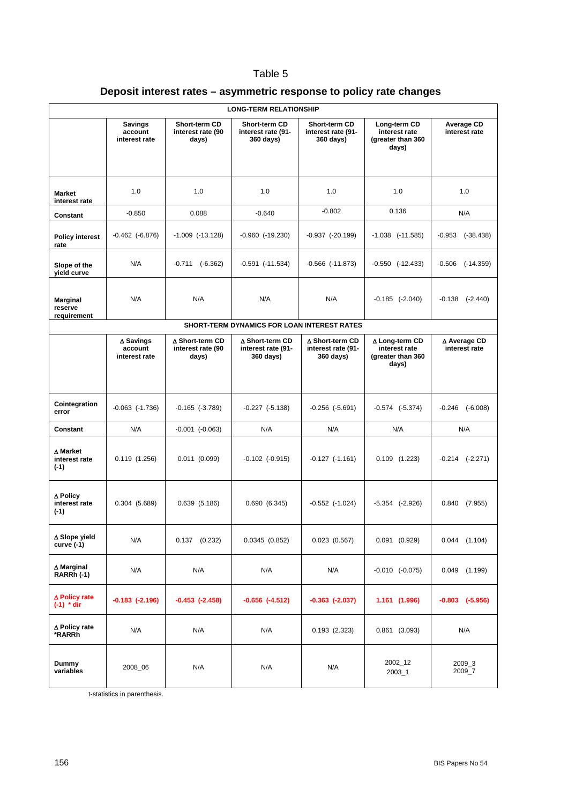|  |  |  | Deposit interest rates – asymmetric response to policy rate changes |
|--|--|--|---------------------------------------------------------------------|
|  |  |  |                                                                     |

|                                             |                                       |                                               | <b>LONG-TERM RELATIONSHIP</b>                      |                                                    |                                                               |                                    |  |  |  |
|---------------------------------------------|---------------------------------------|-----------------------------------------------|----------------------------------------------------|----------------------------------------------------|---------------------------------------------------------------|------------------------------------|--|--|--|
|                                             | Savings<br>account<br>interest rate   | Short-term CD<br>interest rate (90<br>days)   | Short-term CD<br>interest rate (91-<br>360 days)   | Short-term CD<br>interest rate (91-<br>360 days)   | Long-term CD<br>interest rate<br>(greater than 360<br>days)   | <b>Average CD</b><br>interest rate |  |  |  |
| <b>Market</b><br>interest rate              | 1.0                                   | 1.0                                           | 1.0                                                | 1.0                                                | 1.0                                                           | 1.0                                |  |  |  |
| Constant                                    | $-0.850$                              | 0.088                                         | $-0.640$                                           | $-0.802$                                           | 0.136                                                         | N/A                                |  |  |  |
| <b>Policy interest</b><br>rate              | $-0.462$ $(-6.876)$                   | $-1.009$ $(-13.128)$                          | $-0.960$ $(-19.230)$                               | $-0.937$ $(-20.199)$                               | $-1.038$ $(-11.585)$                                          | $-0.953$<br>$(-38.438)$            |  |  |  |
| Slope of the<br>vield curve                 | N/A                                   | $-0.711$ $(-6.362)$                           | $-0.591$ $(-11.534)$                               | $-0.566$ $(-11.873)$                               | $-0.550$ $(-12.433)$                                          | $-0.506$<br>$(-14.359)$            |  |  |  |
| <b>Marginal</b><br>reserve<br>requirement   | N/A                                   | N/A                                           | N/A                                                | N/A                                                | $-0.185$ $(-2.040)$                                           | $-0.138$<br>$(-2.440)$             |  |  |  |
| SHORT-TERM DYNAMICS FOR LOAN INTEREST RATES |                                       |                                               |                                                    |                                                    |                                                               |                                    |  |  |  |
|                                             | ∆ Savings<br>account<br>interest rate | ∆ Short-term CD<br>interest rate (90<br>days) | ∆ Short-term CD<br>interest rate (91-<br>360 days) | ∆ Short-term CD<br>interest rate (91-<br>360 days) | ∆ Long-term CD<br>interest rate<br>(greater than 360<br>days) | ∆ Average CD<br>interest rate      |  |  |  |
|                                             |                                       |                                               |                                                    |                                                    |                                                               |                                    |  |  |  |
| Cointegration<br>error                      | $-0.063$ $(-1.736)$                   | $-0.165$ $(-3.789)$                           | $-0.227$ $(-5.138)$                                | $-0.256$ $(-5.691)$                                | $-0.574$ $(-5.374)$                                           | $-0.246$<br>$(-6.008)$             |  |  |  |
| Constant                                    | N/A                                   | $-0.001$ $(-0.063)$                           | N/A                                                | N/A                                                | N/A                                                           | N/A                                |  |  |  |
| ∆ Market<br>interest rate<br>$(-1)$         | 0.119(1.256)                          | 0.011(0.099)                                  | $-0.102$ $(-0.915)$                                | $-0.127$ $(-1.161)$                                | $0.109$ $(1.223)$                                             | $-0.214$ $(-2.271)$                |  |  |  |
| $\Delta$ Policy<br>interest rate<br>$(-1)$  | 0.304(5.689)                          | 0.639(5.186)                                  | 0.690(6.345)                                       | $-0.552$ $(-1.024)$                                | $-5.354$ $(-2.926)$                                           | 0.840<br>(7.955)                   |  |  |  |
| ∆ Slope yield<br>curve (-1)                 | N/A                                   | $0.137$ $(0.232)$                             | 0.0345(0.852)                                      | $0.023$ $(0.567)$                                  | $0.091$ $(0.929)$                                             | $0.044$ $(1.104)$                  |  |  |  |
| ∆ Marginal<br>RARRh (-1)                    | N/A                                   | N/A                                           | N/A                                                | N/A                                                | $-0.010$ $(-0.075)$                                           | 0.049<br>(1.199)                   |  |  |  |
| ∆ Policy rate<br>$(-1) * dir$               | $-0.183$ $(-2.196)$                   | $-0.453$ $(-2.458)$                           | $-0.656$ $(-4.512)$                                | $-0.363$ $(-2.037)$                                | 1.161 (1.996)                                                 | $-0.803$ $(-5.956)$                |  |  |  |
| ∆ Policy rate<br>*RARRh                     | N/A                                   | N/A                                           | N/A                                                | 0.193(2.323)                                       | $0.861$ $(3.093)$                                             | N/A                                |  |  |  |
| <b>Dummy</b><br>variables                   | 2008_06                               | N/A                                           | N/A                                                | N/A                                                | 2002_12<br>$2003 - 1$                                         | 2009_3<br>2009_7                   |  |  |  |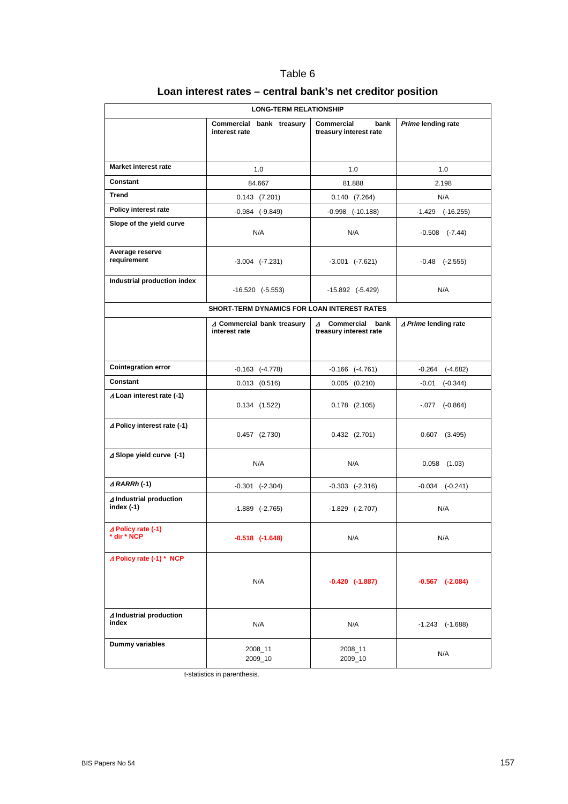### **Loan interest rates – central bank's net creditor position**

| <b>LONG-TERM RELATIONSHIP</b>           |                                                                                               |                                              |                      |  |  |  |  |  |
|-----------------------------------------|-----------------------------------------------------------------------------------------------|----------------------------------------------|----------------------|--|--|--|--|--|
|                                         | Commercial bank treasury<br>interest rate                                                     | Commercial<br>bank<br>treasury interest rate | Prime lending rate   |  |  |  |  |  |
| <b>Market interest rate</b>             | 1.0                                                                                           | 1.0                                          | 1.0                  |  |  |  |  |  |
| Constant                                | 84.667                                                                                        | 81.888                                       | 2.198                |  |  |  |  |  |
| <b>Trend</b>                            | $0.143$ $(7.201)$                                                                             | 0.140(7.264)                                 | N/A                  |  |  |  |  |  |
| Policy interest rate                    | $-0.984$ $(-9.849)$                                                                           | $-0.998$ $(-10.188)$                         | $-1.429$ $(-16.255)$ |  |  |  |  |  |
| Slope of the yield curve                | N/A                                                                                           | N/A                                          | $-0.508$ $(-7.44)$   |  |  |  |  |  |
| Average reserve<br>requirement          | $-3.004$ $(-7.231)$                                                                           | $-3.001$ $(-7.621)$                          | $-0.48$ $(-2.555)$   |  |  |  |  |  |
| Industrial production index             | $-16.520$ $(-5.553)$                                                                          | -15.892 (-5.429)                             | N/A                  |  |  |  |  |  |
|                                         | SHORT-TERM DYNAMICS FOR LOAN INTEREST RATES                                                   |                                              |                      |  |  |  |  |  |
|                                         | ⊿ Commercial<br>∆ Commercial bank treasury<br>bank<br>interest rate<br>treasury interest rate |                                              | ∆ Prime lending rate |  |  |  |  |  |
|                                         |                                                                                               |                                              |                      |  |  |  |  |  |
| <b>Cointegration error</b>              | $-0.163$ $(-4.778)$                                                                           | $-0.166$ $(-4.761)$                          | $-0.264$ $(-4.682)$  |  |  |  |  |  |
| Constant                                | $0.013$ $(0.516)$                                                                             | $0.005$ $(0.210)$                            | $-0.01$ $(-0.344)$   |  |  |  |  |  |
| ∆ Loan interest rate (-1)               | $0.134$ $(1.522)$                                                                             | $0.178$ $(2.105)$                            | $-0.077$ $(-0.864)$  |  |  |  |  |  |
| ⊿ Policy interest rate (-1)             | $0.457$ $(2.730)$                                                                             | $0.432$ $(2.701)$                            | $0.607$ $(3.495)$    |  |  |  |  |  |
| ∆ Slope yield curve (-1)                | N/A                                                                                           | N/A                                          | $0.058$ $(1.03)$     |  |  |  |  |  |
| ⊿ RARRh (-1)                            | $-0.301$ $(-2.304)$                                                                           | $-0.303$ $(-2.316)$                          | $-0.034$ $(-0.241)$  |  |  |  |  |  |
| ⊿ Industrial production<br>index $(-1)$ | $-1.889$ $(-2.765)$                                                                           | $-1.829$ $(-2.707)$                          | N/A                  |  |  |  |  |  |
| ⊿ Policy rate (-1)<br>* dir * NCP       | $-0.518$ $(-1.648)$                                                                           | N/A                                          | N/A                  |  |  |  |  |  |
| ⊿ Policy rate (-1) * NCP                | N/A                                                                                           | $-0.420$ $(-1.887)$                          | $-0.567$ $(-2.084)$  |  |  |  |  |  |
| ⊿ Industrial production<br>index        | N/A                                                                                           | N/A                                          | $-1.243$ $(-1.688)$  |  |  |  |  |  |
| Dummy variables                         | 2008_11<br>2009_10                                                                            | 2008_11<br>2009_10                           | N/A                  |  |  |  |  |  |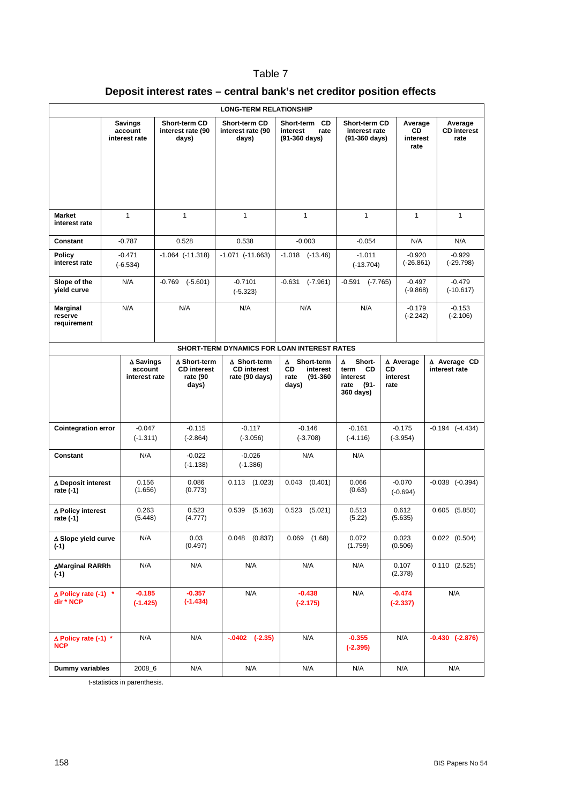# **Deposit interest rates – central bank's net creditor position effects**

| <b>LONG-TERM RELATIONSHIP</b>               |              |                                            |  |                                                         |                                                      |                                                                     |                                                                              |                        |                                   |                   |                                       |
|---------------------------------------------|--------------|--------------------------------------------|--|---------------------------------------------------------|------------------------------------------------------|---------------------------------------------------------------------|------------------------------------------------------------------------------|------------------------|-----------------------------------|-------------------|---------------------------------------|
|                                             |              | <b>Savings</b><br>account<br>interest rate |  | Short-term CD<br>interest rate (90<br>days)             | Short-term CD<br>interest rate (90<br>days)          | Short-term CD<br>interest<br>rate<br>$(91-360 \text{ days})$        | Short-term CD<br>interest rate<br>(91-360 days)                              |                        | Average<br>CD<br>interest<br>rate |                   | Average<br><b>CD</b> interest<br>rate |
|                                             |              |                                            |  |                                                         |                                                      |                                                                     |                                                                              |                        |                                   |                   |                                       |
| <b>Market</b><br>interest rate              | $\mathbf{1}$ |                                            |  | $\mathbf{1}$                                            | $\mathbf{1}$                                         | $\mathbf{1}$                                                        | $\mathbf{1}$                                                                 |                        | $\mathbf{1}$                      |                   | $\mathbf{1}$                          |
| Constant                                    |              | $-0.787$                                   |  | 0.528                                                   | 0.538                                                | $-0.003$                                                            | $-0.054$                                                                     |                        | N/A                               |                   | N/A                                   |
| <b>Policy</b><br>interest rate              |              | $-0.471$<br>$(-6.534)$                     |  | $-1.064$ $(-11.318)$                                    | $-1.071$ $(-11.663)$                                 | $-1.018$ $(-13.46)$                                                 | $-1.011$<br>$(-13.704)$                                                      |                        | -0.920<br>$(-26.861)$             |                   | $-0.929$<br>$(-29.798)$               |
| Slope of the<br>yield curve                 |              | N/A                                        |  | $-0.769$ $(-5.601)$                                     | $-0.7101$<br>$(-5.323)$                              | $-0.631$<br>$(-7.961)$                                              | $-0.591$ $(-7.765)$                                                          |                        | $-0.497$<br>$(-9.868)$            |                   | $-0.479$<br>$(-10.617)$               |
| Marginal<br>reserve<br>requirement          | N/A          |                                            |  | N/A                                                     | N/A                                                  | N/A                                                                 | N/A                                                                          |                        | $-0.179$<br>$(-2.242)$            |                   | $-0.153$<br>$(-2.106)$                |
| SHORT-TERM DYNAMICS FOR LOAN INTEREST RATES |              |                                            |  |                                                         |                                                      |                                                                     |                                                                              |                        |                                   |                   |                                       |
|                                             |              | ∆ Savings<br>account<br>interest rate      |  | ∆ Short-term<br><b>CD</b> interest<br>rate (90<br>days) | ∆ Short-term<br><b>CD</b> interest<br>rate (90 days) | Short-term<br>Δ.<br>CD<br>interest<br>rate<br>$(91 - 360)$<br>days) | Short-<br>Δ<br>term<br><b>CD</b><br>interest<br>rate<br>$(91 -$<br>360 days) | <b>CD</b><br>rate      | ∆ Average<br>interest             |                   | ∆ Average CD<br>interest rate         |
| <b>Cointegration error</b>                  |              | $-0.047$<br>$(-1.311)$                     |  | $-0.115$<br>$(-2.864)$                                  | $-0.117$<br>$(-3.056)$                               | $-0.146$<br>$(-3.708)$                                              | $-0.161$<br>$(-4.116)$                                                       | $-0.175$<br>$(-3.954)$ |                                   |                   | $-0.194$ $(-4.434)$                   |
| Constant                                    |              | N/A                                        |  | $-0.022$<br>$(-1.138)$                                  | $-0.026$<br>$(-1.386)$                               | N/A                                                                 | N/A                                                                          |                        |                                   |                   |                                       |
| ∆ Deposit interest<br>rate (-1)             |              | 0.156<br>(1.656)                           |  | 0.086<br>(0.773)                                        | $0.113$ $(1.023)$                                    | 0.043<br>(0.401)                                                    | 0.066<br>(0.63)                                                              |                        | $-0.070$<br>$(-0.694)$            |                   | $-0.038$ $(-0.394)$                   |
| ∆ Policy interest<br>rate (-1)              |              | 0.263<br>(5.448)                           |  | 0.523<br>(4.777)                                        | 0.539<br>(5.163)                                     | 0.523<br>(5.021)                                                    | 0.513<br>0.612<br>(5.22)<br>(5.635)                                          |                        |                                   | $0.605$ $(5.850)$ |                                       |
| ∆ Slope yield curve<br>$(-1)$               |              | N/A                                        |  | 0.03<br>(0.497)                                         | 0.048<br>(0.837)                                     | 0.069<br>(1.68)                                                     | 0.072<br>(1.759)                                                             |                        | 0.023<br>(0.506)                  | $0.022$ $(0.504)$ |                                       |
| ∆Marginal RARRh<br>$(-1)$                   |              | N/A                                        |  | N/A                                                     | N/A                                                  | N/A                                                                 | N/A                                                                          |                        | 0.107<br>(2.378)                  |                   | $0.110$ $(2.525)$                     |
| $\triangle$ Policy rate (-1) *<br>dir * NCP |              | $-0.185$<br>$(-1.425)$                     |  | $-0.357$<br>$(-1.434)$                                  | N/A                                                  | $-0.438$<br>$(-2.175)$                                              | N/A                                                                          |                        | $-0.474$<br>$(-2.337)$            |                   | N/A                                   |
| $\Delta$ Policy rate (-1) *<br><b>NCP</b>   |              | N/A                                        |  | N/A                                                     | $-0.0402$ $(-2.35)$                                  | N/A                                                                 | $-0.355$<br>$(-2.395)$                                                       |                        | N/A                               |                   | $-0.430$ $(-2.876)$                   |
| Dummy variables                             |              | 2008_6                                     |  | N/A                                                     | N/A                                                  | N/A                                                                 | N/A                                                                          |                        | N/A                               |                   | N/A                                   |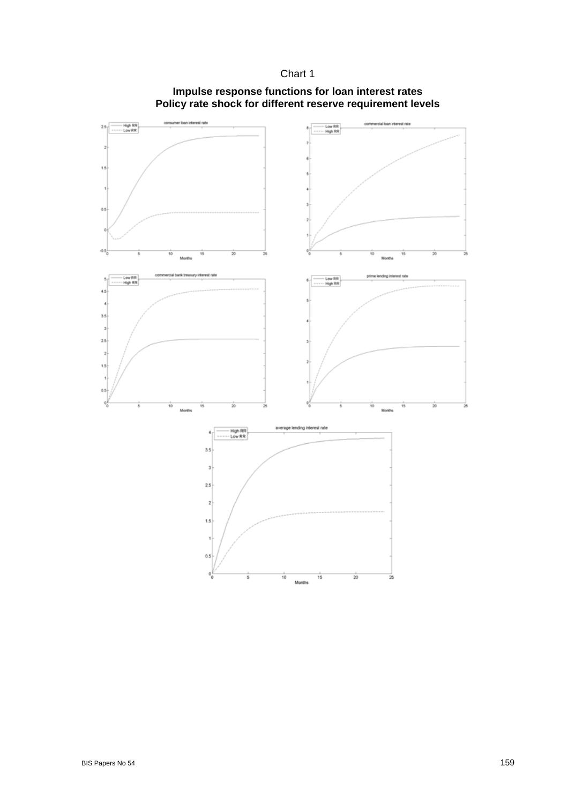![](_page_26_Figure_0.jpeg)

![](_page_26_Figure_1.jpeg)

**Impulse response functions for loan interest rates Policy rate shock for different reserve requirement levels**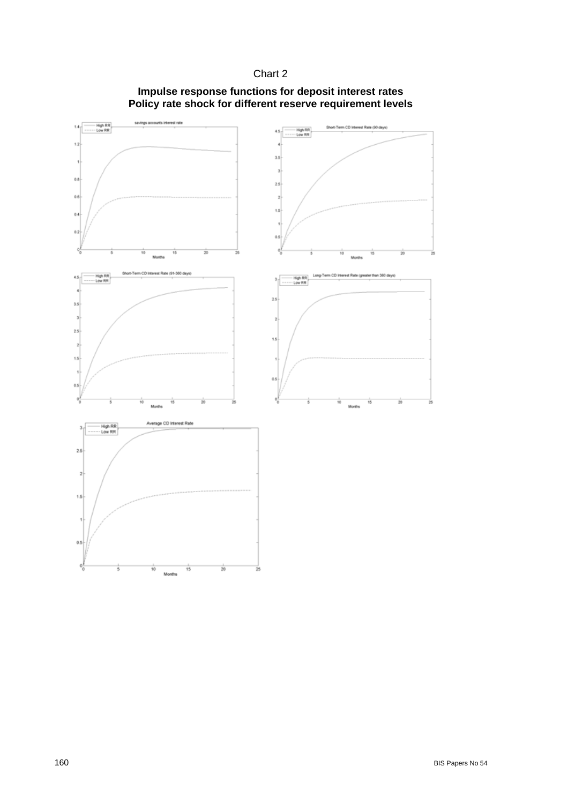![](_page_27_Figure_0.jpeg)

![](_page_27_Figure_1.jpeg)

#### **Impulse response functions for deposit interest rates Policy rate shock for different reserve requirement levels**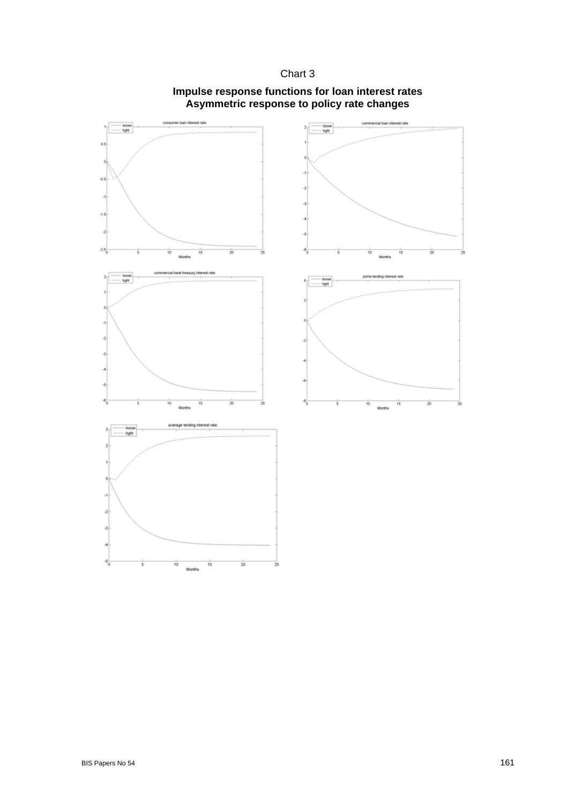![](_page_28_Figure_0.jpeg)

![](_page_28_Figure_1.jpeg)

### **Impulse response functions for loan interest rates Asymmetric response to policy rate changes**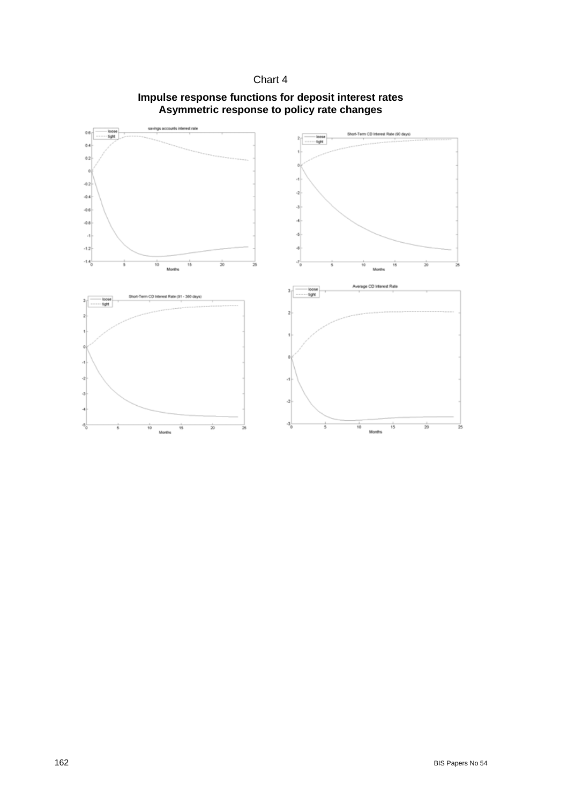![](_page_29_Figure_0.jpeg)

![](_page_29_Figure_1.jpeg)

### **Impulse response functions for deposit interest rates Asymmetric response to policy rate changes**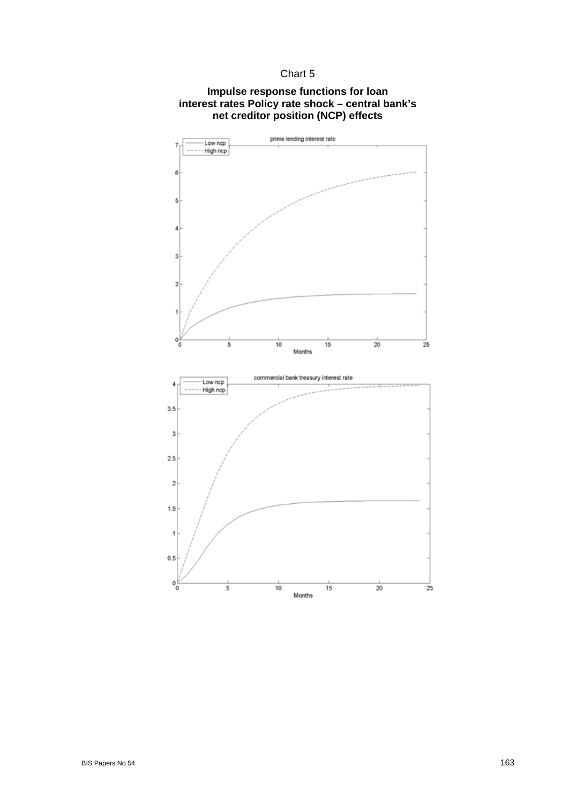![](_page_30_Figure_0.jpeg)

#### **Impulse response functions for loan interest rates Policy rate shock – central bank's net creditor position (NCP) effects**

![](_page_30_Figure_2.jpeg)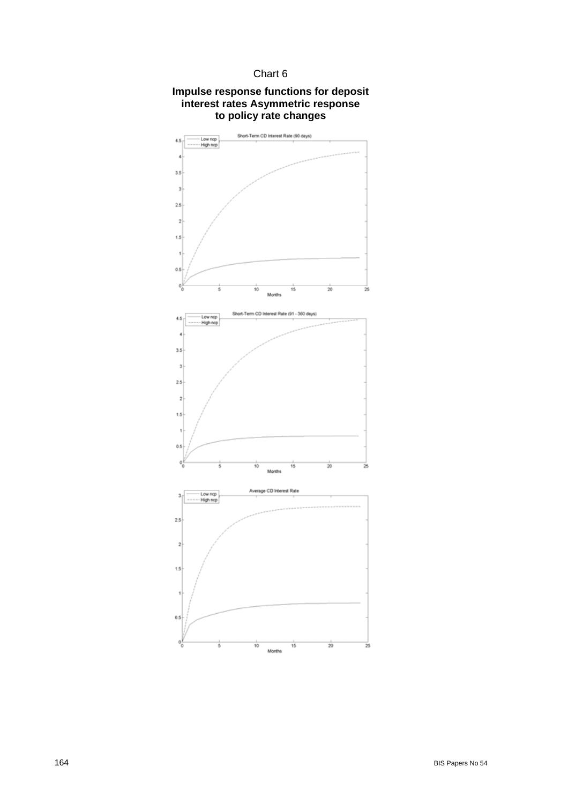### Chart 6

![](_page_31_Figure_1.jpeg)

#### **Impulse response functions for deposit interest rates Asymmetric response to policy rate changes**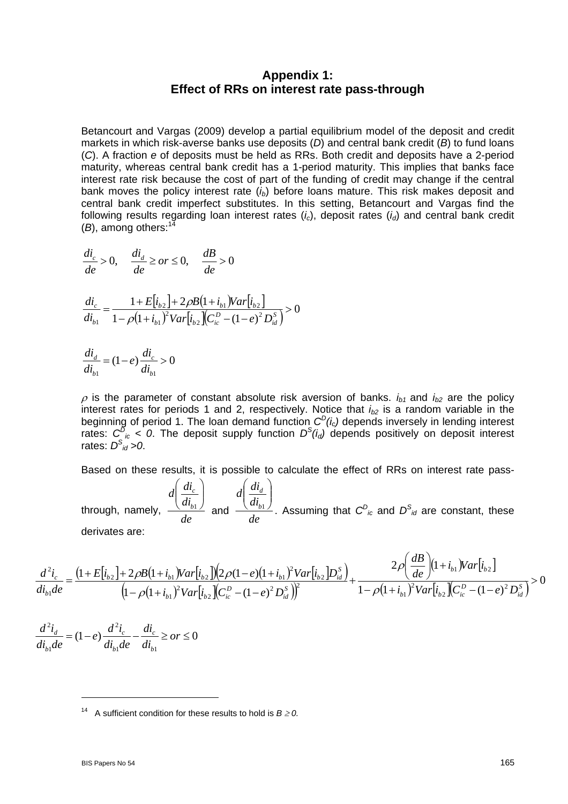### **Appendix 1: Effect of RRs on interest rate pass-through**

Betancourt and Vargas (2009) develop a partial equilibrium model of the deposit and credit markets in which risk-averse banks use deposits (*D*) and central bank credit (*B*) to fund loans (*C*). A fraction *e* of deposits must be held as RRs. Both credit and deposits have a 2-period maturity, whereas central bank credit has a 1-period maturity. This implies that banks face interest rate risk because the cost of part of the funding of credit may change if the central bank moves the policy interest rate (*i<sub>b</sub>*) before loans mature. This risk makes deposit and central bank credit imperfect substitutes. In this setting, Betancourt and Vargas find the following results regarding loan interest rates (*ic*), deposit rates (*id*) and central bank credit  $(B)$ , among others:<sup>1</sup>

$$
\frac{di_c}{de} > 0, \quad \frac{di_d}{de} \ge or \le 0, \quad \frac{dB}{de} > 0
$$

$$
\frac{di_c}{di_{b1}} = \frac{1 + E[i_{b2}] + 2\rho B(1 + i_{b1})Var[i_{b2}]}{1 - \rho(1 + i_{b1})^2 Var[i_{b2}](C_{ic}^D - (1 - e)^2 D_{id}^S)} > 0
$$

$$
\frac{di_{d}}{di_{b1}} = (1 - e) \frac{di_{c}}{di_{b1}} > 0
$$

 $\rho$  is the parameter of constant absolute risk aversion of banks.  $i_{b1}$  and  $i_{b2}$  are the policy interest rates for periods 1 and 2, respectively. Notice that *ib2* is a random variable in the beginning of period 1. The loan demand function  $C^D(i_c)$  depends inversely in lending interest rates:  $C_{i\alpha}^D$  < 0. The deposit supply function  $D^S(i_d)$  depends positively on deposit interest rates: *DS id >0*.

Based on these results, it is possible to calculate the effect of RRs on interest rate pass-

through, namely,  $\frac{\sqrt{m}}{de}$ *di*  $d\left(\frac{di}{dx}\right)$ *b c*  $\bigg)$  $\backslash$  $\overline{\phantom{a}}$  $\setminus$ ſ  $\frac{1}{2}$  and *de di*  $d\left(\frac{di}{d}\right)$ *b d*  $\bigg)$  $\setminus$  $\overline{\phantom{a}}$  $\setminus$ ſ  $\frac{1}{r}$ . Assuming that  $C^D_{ic}$  and  $D^S_{id}$  are constant, these

derivates are:

$$
\frac{d^2 i_c}{di_{b1}de} = \frac{(1 + E[i_{b2}] + 2\rho B(1 + i_{b1})Var[i_{b2}])(2\rho(1 - e)(1 + i_{b1})^2Var[i_{b2}]D_{id}^S)}{(1 - \rho(1 + i_{b1})^2Var[i_{b2}])(C_{ic}^D - (1 - e)^2D_{id}^S)]^2} + \frac{2\rho\left(\frac{dB}{de}\right)(1 + i_{b1})Var[i_{b2}]}{1 - \rho(1 + i_{b1})^2Var[i_{b2}]C_{ic}^D - (1 - e)^2D_{id}^S} > 0
$$

$$
\frac{d^2 i_d}{di_{b1}de} = (1 - e) \frac{d^2 i_c}{di_{b1}de} - \frac{di_c}{di_{b1}} \ge or \le 0
$$

<sup>&</sup>lt;sup>14</sup> A sufficient condition for these results to hold is  $B \ge 0$ .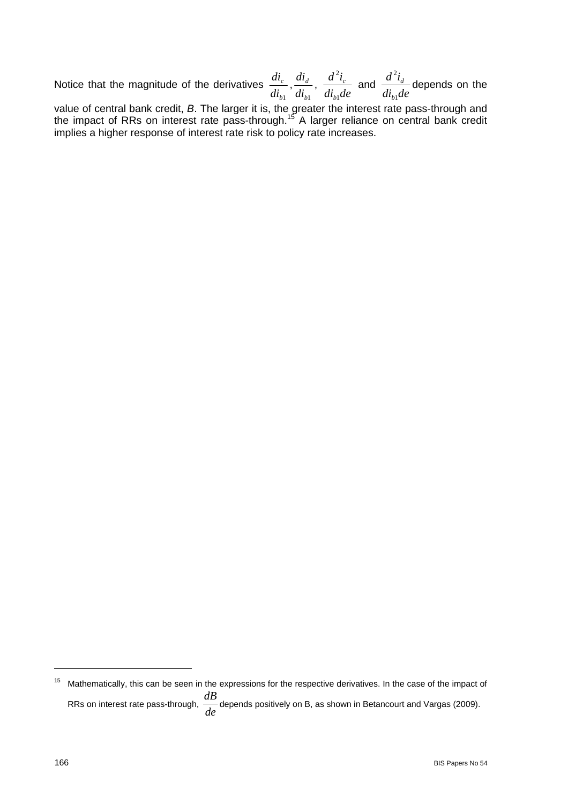Notice that the magnitude of the derivatives *b*1 *c di*  $\frac{di_c}{dx}$ , *b*1 *d*  $\frac{di_d}{di_{b1}}$ ,  $\frac{d^2i_c}{di_{b1}de}$ *b c* 1 2 and  $di_{h}de$  $d^2i$ *b d* 1 2 depends on the

value of central bank credit, *B*. The larger it is, the greater the interest rate pass-through and the impact of RRs on interest rate pass-through.<sup>15</sup> A larger reliance on central bank credit implies a higher response of interest rate risk to policy rate increases.

<sup>&</sup>lt;sup>15</sup> Mathematically, this can be seen in the expressions for the respective derivatives. In the case of the impact of RRs on interest rate pass-through, *de dB* depends positively on B, as shown in Betancourt and Vargas (2009).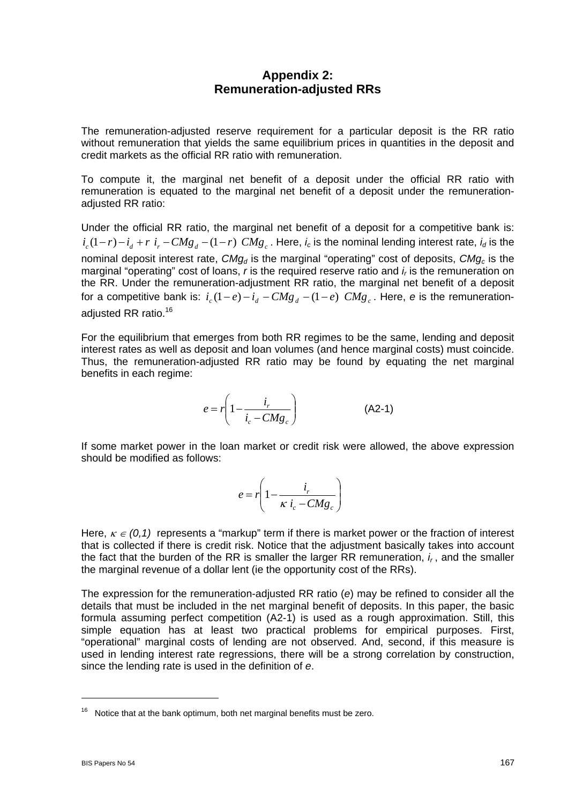### **Appendix 2: Remuneration-adjusted RRs**

The remuneration-adjusted reserve requirement for a particular deposit is the RR ratio without remuneration that yields the same equilibrium prices in quantities in the deposit and credit markets as the official RR ratio with remuneration.

To compute it, the marginal net benefit of a deposit under the official RR ratio with remuneration is equated to the marginal net benefit of a deposit under the remunerationadjusted RR ratio:

Under the official RR ratio, the marginal net benefit of a deposit for a competitive bank is:  $i_c(1-r) - i_d + r$   $i_r - CMg_d - (1-r)$   $CMg_c$ . Here,  $i_c$  is the nominal lending interest rate,  $i_d$  is the nominal deposit interest rate, *CMg<sub>d</sub>* is the marginal "operating" cost of deposits, *CMg<sub>c</sub>* is the marginal "operating" cost of loans, *r* is the required reserve ratio and *ir* is the remuneration on the RR. Under the remuneration-adjustment RR ratio, the marginal net benefit of a deposit for a competitive bank is:  $i_c(1-e)-i_d - CMg_d - (1-e) CMg_c$ . Here, *e* is the remunerationadjusted RR ratio.<sup>16</sup>

For the equilibrium that emerges from both RR regimes to be the same, lending and deposit interest rates as well as deposit and loan volumes (and hence marginal costs) must coincide. Thus, the remuneration-adjusted RR ratio may be found by equating the net marginal benefits in each regime:

$$
e = r \left( 1 - \frac{i_r}{i_c - CMg_c} \right) \tag{A2-1}
$$

If some market power in the loan market or credit risk were allowed, the above expression should be modified as follows:

$$
e = r \left( 1 - \frac{i_r}{\kappa i_c - CMg_c} \right)
$$

Here,  $\kappa \in (0,1)$  represents a "markup" term if there is market power or the fraction of interest that is collected if there is credit risk. Notice that the adjustment basically takes into account the fact that the burden of the RR is smaller the larger RR remuneration, *ir* , and the smaller the marginal revenue of a dollar lent (ie the opportunity cost of the RRs).

The expression for the remuneration-adjusted RR ratio (*e*) may be refined to consider all the details that must be included in the net marginal benefit of deposits. In this paper, the basic formula assuming perfect competition (A2-1) is used as a rough approximation. Still, this simple equation has at least two practical problems for empirical purposes. First, "operational" marginal costs of lending are not observed. And, second, if this measure is used in lending interest rate regressions, there will be a strong correlation by construction, since the lending rate is used in the definition of *e*.

 $16$  Notice that at the bank optimum, both net marginal benefits must be zero.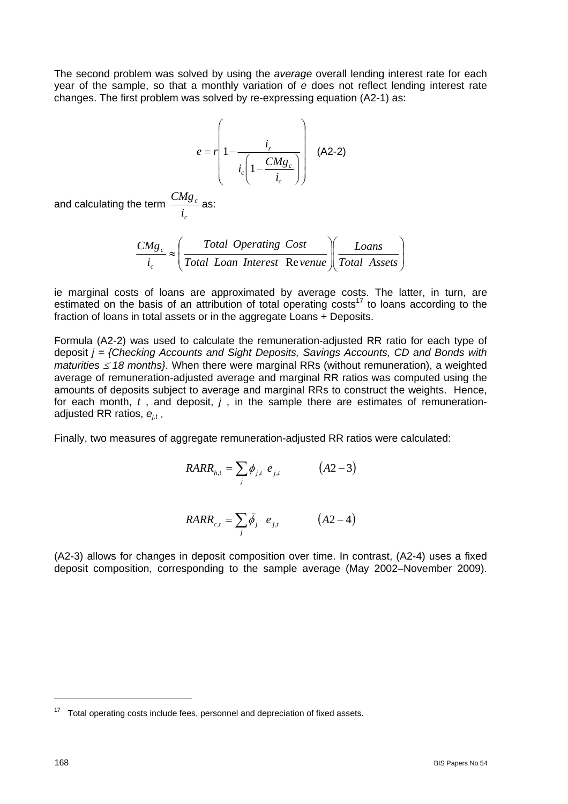The second problem was solved by using the *average* overall lending interest rate for each year of the sample, so that a monthly variation of *e* does not reflect lending interest rate changes. The first problem was solved by re-expressing equation (A2-1) as:

$$
e = r \left( 1 - \frac{i_r}{i_c \left( 1 - \frac{CMg_c}{i_c} \right)} \right) \quad \text{(A2-2)}
$$

and calculating the term *c c i*  $\frac{CMg_c}{1}$  as:

$$
\frac{CMg_c}{i_c} \approx \left(\frac{Total \ Operating \ Cost}{Total \ Loan \ Interest \ Revenue}\right)\left(\frac{Loans}{Total \ Assets}\right)
$$

ie marginal costs of loans are approximated by average costs. The latter, in turn, are estimated on the basis of an attribution of total operating costs<sup>17</sup> to loans according to the fraction of loans in total assets or in the aggregate Loans + Deposits.

Formula (A2-2) was used to calculate the remuneration-adjusted RR ratio for each type of deposit *j = {Checking Accounts and Sight Deposits, Savings Accounts, CD and Bonds with maturities*  $\leq 18$  *months*}. When there were marginal RRs (without remuneration), a weighted average of remuneration-adjusted average and marginal RR ratios was computed using the amounts of deposits subject to average and marginal RRs to construct the weights. Hence, for each month, *t* , and deposit, *j* , in the sample there are estimates of remunerationadjusted RR ratios,  $e_{it}$ .

Finally, two measures of aggregate remuneration-adjusted RR ratios were calculated:

$$
RARR_{h,t} = \sum_{j} \phi_{j,t} \ e_{j,t} \qquad (A2-3)
$$

$$
RARR_{c,t} = \sum_{j} \bar{\phi}_j \quad e_{j,t} \tag{A2-4}
$$

(A2-3) allows for changes in deposit composition over time. In contrast, (A2-4) uses a fixed deposit composition, corresponding to the sample average (May 2002–November 2009).

 $17$  Total operating costs include fees, personnel and depreciation of fixed assets.